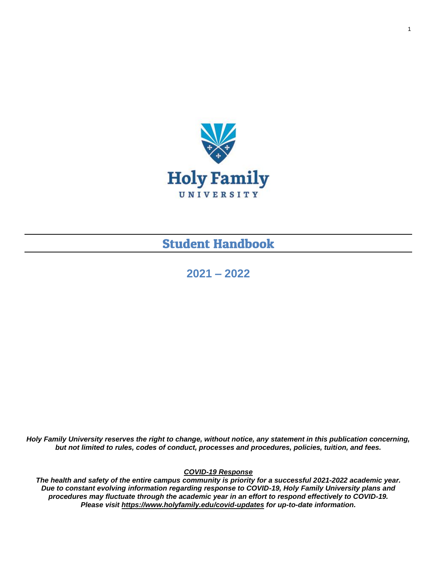

# **Student Handbook**

**2021 – 2022** 

*Holy Family University reserves the right to change, without notice, any statement in this publication concerning, but not limited to rules, codes of conduct, processes and procedures, policies, tuition, and fees.*

*COVID-19 Response*

*The health and safety of the entire campus community is priority for a successful 2021-2022 academic year. Due to constant evolving information regarding response to COVID-19, Holy Family University plans and procedures may fluctuate through the academic year in an effort to respond effectively to COVID-19. Please visit <https://www.holyfamily.edu/covid-updates> for up-to-date information.*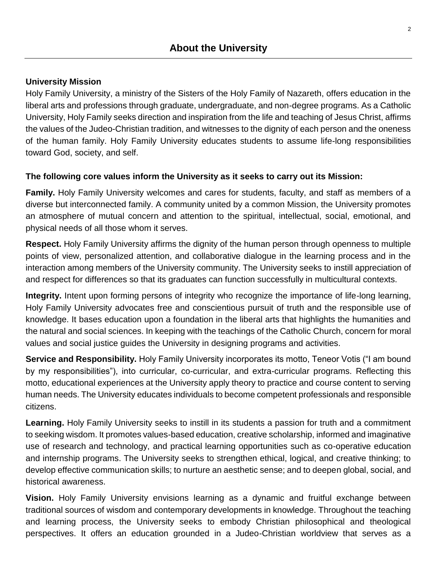#### <span id="page-1-0"></span>**University Mission**

Holy Family University, a ministry of the Sisters of the Holy Family of Nazareth, offers education in the liberal arts and professions through graduate, undergraduate, and non-degree programs. As a Catholic University, Holy Family seeks direction and inspiration from the life and teaching of Jesus Christ, affirms the values of the Judeo-Christian tradition, and witnesses to the dignity of each person and the oneness of the human family. Holy Family University educates students to assume life-long responsibilities toward God, society, and self.

#### **The following core values inform the University as it seeks to carry out its Mission:**

**Family.** Holy Family University welcomes and cares for students, faculty, and staff as members of a diverse but interconnected family. A community united by a common Mission, the University promotes an atmosphere of mutual concern and attention to the spiritual, intellectual, social, emotional, and physical needs of all those whom it serves.

**Respect.** Holy Family University affirms the dignity of the human person through openness to multiple points of view, personalized attention, and collaborative dialogue in the learning process and in the interaction among members of the University community. The University seeks to instill appreciation of and respect for differences so that its graduates can function successfully in multicultural contexts.

**Integrity.** Intent upon forming persons of integrity who recognize the importance of life-long learning, Holy Family University advocates free and conscientious pursuit of truth and the responsible use of knowledge. It bases education upon a foundation in the liberal arts that highlights the humanities and the natural and social sciences. In keeping with the teachings of the Catholic Church, concern for moral values and social justice guides the University in designing programs and activities.

**Service and Responsibility.** Holy Family University incorporates its motto, Teneor Votis ("I am bound by my responsibilities"), into curricular, co-curricular, and extra-curricular programs. Reflecting this motto, educational experiences at the University apply theory to practice and course content to serving human needs. The University educates individuals to become competent professionals and responsible citizens.

**Learning.** Holy Family University seeks to instill in its students a passion for truth and a commitment to seeking wisdom. It promotes values-based education, creative scholarship, informed and imaginative use of research and technology, and practical learning opportunities such as co-operative education and internship programs. The University seeks to strengthen ethical, logical, and creative thinking; to develop effective communication skills; to nurture an aesthetic sense; and to deepen global, social, and historical awareness.

**Vision.** Holy Family University envisions learning as a dynamic and fruitful exchange between traditional sources of wisdom and contemporary developments in knowledge. Throughout the teaching and learning process, the University seeks to embody Christian philosophical and theological perspectives. It offers an education grounded in a Judeo-Christian worldview that serves as a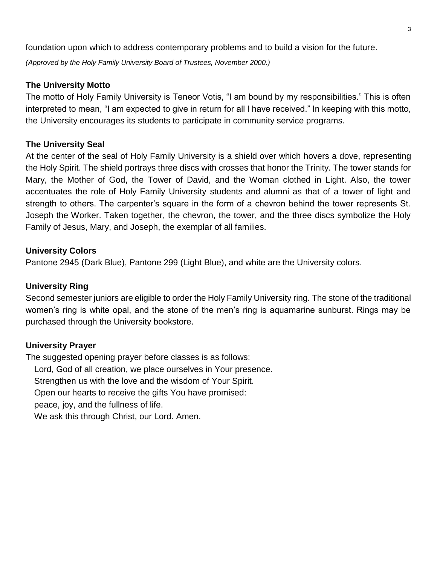foundation upon which to address contemporary problems and to build a vision for the future.

*(Approved by the Holy Family University Board of Trustees, November 2000.)*

#### **The University Motto**

The motto of Holy Family University is Teneor Votis, "I am bound by my responsibilities." This is often interpreted to mean, "I am expected to give in return for all I have received." In keeping with this motto, the University encourages its students to participate in community service programs.

#### **The University Seal**

At the center of the seal of Holy Family University is a shield over which hovers a dove, representing the Holy Spirit. The shield portrays three discs with crosses that honor the Trinity. The tower stands for Mary, the Mother of God, the Tower of David, and the Woman clothed in Light. Also, the tower accentuates the role of Holy Family University students and alumni as that of a tower of light and strength to others. The carpenter's square in the form of a chevron behind the tower represents St. Joseph the Worker. Taken together, the chevron, the tower, and the three discs symbolize the Holy Family of Jesus, Mary, and Joseph, the exemplar of all families.

#### **University Colors**

Pantone 2945 (Dark Blue), Pantone 299 (Light Blue), and white are the University colors.

#### **University Ring**

Second semester juniors are eligible to order the Holy Family University ring. The stone of the traditional women's ring is white opal, and the stone of the men's ring is aquamarine sunburst. Rings may be purchased through the University bookstore.

#### **University Prayer**

The suggested opening prayer before classes is as follows: Lord, God of all creation, we place ourselves in Your presence. Strengthen us with the love and the wisdom of Your Spirit. Open our hearts to receive the gifts You have promised: peace, joy, and the fullness of life. We ask this through Christ, our Lord. Amen.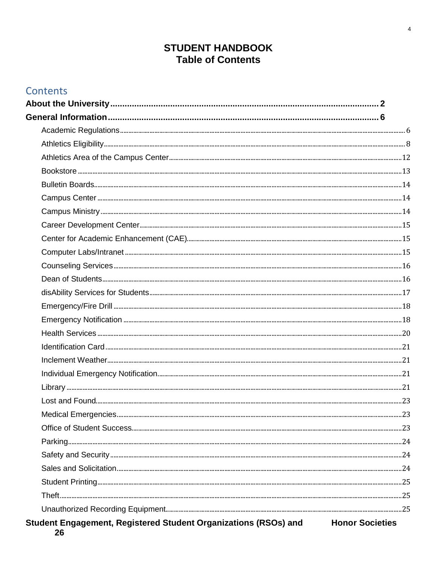# **STUDENT HANDBOOK Table of Contents**

| Contents                                                              |                        |
|-----------------------------------------------------------------------|------------------------|
|                                                                       |                        |
|                                                                       |                        |
|                                                                       |                        |
|                                                                       |                        |
|                                                                       |                        |
|                                                                       |                        |
|                                                                       |                        |
|                                                                       |                        |
|                                                                       |                        |
|                                                                       |                        |
|                                                                       |                        |
|                                                                       |                        |
|                                                                       |                        |
|                                                                       |                        |
|                                                                       |                        |
|                                                                       |                        |
|                                                                       |                        |
|                                                                       |                        |
|                                                                       |                        |
|                                                                       |                        |
|                                                                       |                        |
|                                                                       |                        |
|                                                                       |                        |
|                                                                       |                        |
|                                                                       |                        |
|                                                                       |                        |
|                                                                       |                        |
|                                                                       |                        |
|                                                                       |                        |
|                                                                       |                        |
|                                                                       |                        |
| Student Engagement, Registered Student Organizations (RSOs) and<br>26 | <b>Honor Societies</b> |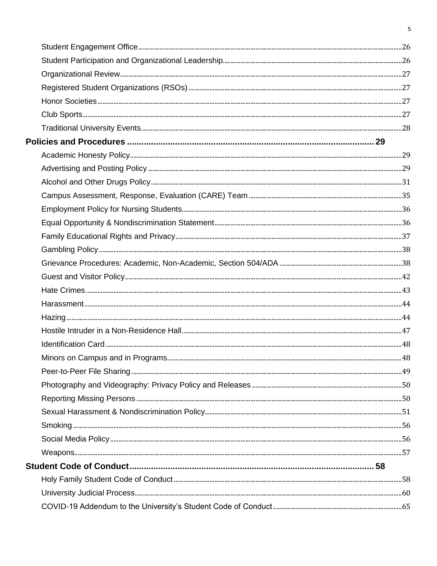$\overline{5}$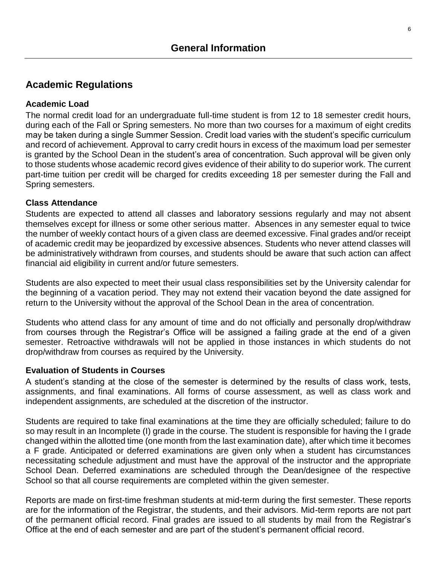## <span id="page-5-1"></span><span id="page-5-0"></span>**Academic Regulations**

#### **Academic Load**

The normal credit load for an undergraduate full-time student is from 12 to 18 semester credit hours, during each of the Fall or Spring semesters. No more than two courses for a maximum of eight credits may be taken during a single Summer Session. Credit load varies with the student's specific curriculum and record of achievement. Approval to carry credit hours in excess of the maximum load per semester is granted by the School Dean in the student's area of concentration. Such approval will be given only to those students whose academic record gives evidence of their ability to do superior work. The current part-time tuition per credit will be charged for credits exceeding 18 per semester during the Fall and Spring semesters.

#### **Class Attendance**

Students are expected to attend all classes and laboratory sessions regularly and may not absent themselves except for illness or some other serious matter. Absences in any semester equal to twice the number of weekly contact hours of a given class are deemed excessive. Final grades and/or receipt of academic credit may be jeopardized by excessive absences. Students who never attend classes will be administratively withdrawn from courses, and students should be aware that such action can affect financial aid eligibility in current and/or future semesters.

Students are also expected to meet their usual class responsibilities set by the University calendar for the beginning of a vacation period. They may not extend their vacation beyond the date assigned for return to the University without the approval of the School Dean in the area of concentration.

Students who attend class for any amount of time and do not officially and personally drop/withdraw from courses through the Registrar's Office will be assigned a failing grade at the end of a given semester. Retroactive withdrawals will not be applied in those instances in which students do not drop/withdraw from courses as required by the University.

#### **Evaluation of Students in Courses**

A student's standing at the close of the semester is determined by the results of class work, tests, assignments, and final examinations. All forms of course assessment, as well as class work and independent assignments, are scheduled at the discretion of the instructor.

Students are required to take final examinations at the time they are officially scheduled; failure to do so may result in an Incomplete (I) grade in the course. The student is responsible for having the I grade changed within the allotted time (one month from the last examination date), after which time it becomes a F grade. Anticipated or deferred examinations are given only when a student has circumstances necessitating schedule adjustment and must have the approval of the instructor and the appropriate School Dean. Deferred examinations are scheduled through the Dean/designee of the respective School so that all course requirements are completed within the given semester.

Reports are made on first-time freshman students at mid-term during the first semester. These reports are for the information of the Registrar, the students, and their advisors. Mid-term reports are not part of the permanent official record. Final grades are issued to all students by mail from the Registrar's Office at the end of each semester and are part of the student's permanent official record.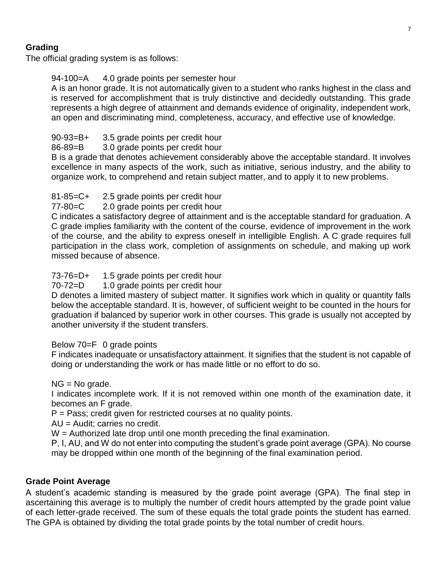## **Grading**

The official grading system is as follows:

### 94-100=A 4.0 grade points per semester hour

A is an honor grade. It is not automatically given to a student who ranks highest in the class and is reserved for accomplishment that is truly distinctive and decidedly outstanding. This grade represents a high degree of attainment and demands evidence of originality, independent work, an open and discriminating mind, completeness, accuracy, and effective use of knowledge.

### 90-93=B+ 3.5 grade points per credit hour

#### 86-89=B 3.0 grade points per credit hour

B is a grade that denotes achievement considerably above the acceptable standard. It involves excellence in many aspects of the work, such as initiative, serious industry, and the ability to organize work, to comprehend and retain subject matter, and to apply it to new problems.

## 81-85=C+ 2.5 grade points per credit hour

#### 77-80=C 2.0 grade points per credit hour

C indicates a satisfactory degree of attainment and is the acceptable standard for graduation. A C grade implies familiarity with the content of the course, evidence of improvement in the work of the course, and the ability to express oneself in intelligible English. A C grade requires full participation in the class work, completion of assignments on schedule, and making up work missed because of absence.

### 73-76=D+ 1.5 grade points per credit hour

#### 70-72=D 1.0 grade points per credit hour

D denotes a limited mastery of subject matter. It signifies work which in quality or quantity falls below the acceptable standard. It is, however, of sufficient weight to be counted in the hours for graduation if balanced by superior work in other courses. This grade is usually not accepted by another university if the student transfers.

#### Below 70=F 0 grade points

F indicates inadequate or unsatisfactory attainment. It signifies that the student is not capable of doing or understanding the work or has made little or no effort to do so.

#### NG = No grade.

I indicates incomplete work. If it is not removed within one month of the examination date, it becomes an F grade.

 $P = Pass$ ; credit given for restricted courses at no quality points.

AU = Audit; carries no credit.

W = Authorized late drop until one month preceding the final examination.

P, I, AU, and W do not enter into computing the student's grade point average (GPA). No course may be dropped within one month of the beginning of the final examination period.

#### **Grade Point Average**

A student's academic standing is measured by the grade point average (GPA). The final step in ascertaining this average is to multiply the number of credit hours attempted by the grade point value of each letter-grade received. The sum of these equals the total grade points the student has earned. The GPA is obtained by dividing the total grade points by the total number of credit hours.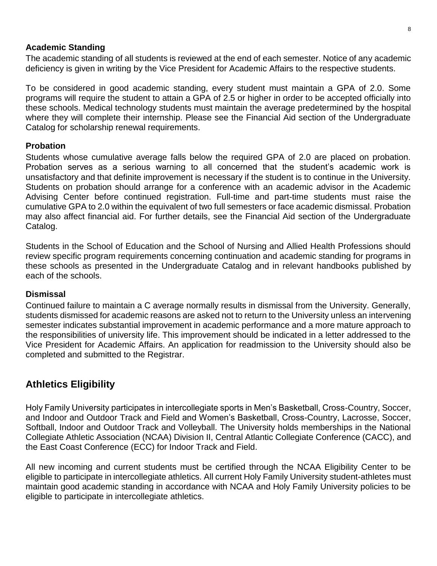#### **Academic Standing**

The academic standing of all students is reviewed at the end of each semester. Notice of any academic deficiency is given in writing by the Vice President for Academic Affairs to the respective students.

To be considered in good academic standing, every student must maintain a GPA of 2.0. Some programs will require the student to attain a GPA of 2.5 or higher in order to be accepted officially into these schools. Medical technology students must maintain the average predetermined by the hospital where they will complete their internship. Please see the Financial Aid section of the Undergraduate Catalog for scholarship renewal requirements.

#### **Probation**

Students whose cumulative average falls below the required GPA of 2.0 are placed on probation. Probation serves as a serious warning to all concerned that the student's academic work is unsatisfactory and that definite improvement is necessary if the student is to continue in the University. Students on probation should arrange for a conference with an academic advisor in the Academic Advising Center before continued registration. Full-time and part-time students must raise the cumulative GPA to 2.0 within the equivalent of two full semesters or face academic dismissal. Probation may also affect financial aid. For further details, see the Financial Aid section of the Undergraduate Catalog.

Students in the School of Education and the School of Nursing and Allied Health Professions should review specific program requirements concerning continuation and academic standing for programs in these schools as presented in the Undergraduate Catalog and in relevant handbooks published by each of the schools.

#### **Dismissal**

Continued failure to maintain a C average normally results in dismissal from the University. Generally, students dismissed for academic reasons are asked not to return to the University unless an intervening semester indicates substantial improvement in academic performance and a more mature approach to the responsibilities of university life. This improvement should be indicated in a letter addressed to the Vice President for Academic Affairs. An application for readmission to the University should also be completed and submitted to the Registrar.

## <span id="page-7-0"></span>**Athletics Eligibility**

Holy Family University participates in intercollegiate sports in Men's Basketball, Cross-Country, Soccer, and Indoor and Outdoor Track and Field and Women's Basketball, Cross-Country, Lacrosse, Soccer, Softball, Indoor and Outdoor Track and Volleyball. The University holds memberships in the National Collegiate Athletic Association (NCAA) Division II, Central Atlantic Collegiate Conference (CACC), and the East Coast Conference (ECC) for Indoor Track and Field.

All new incoming and current students must be certified through the NCAA Eligibility Center to be eligible to participate in intercollegiate athletics. All current Holy Family University student-athletes must maintain good academic standing in accordance with NCAA and Holy Family University policies to be eligible to participate in intercollegiate athletics.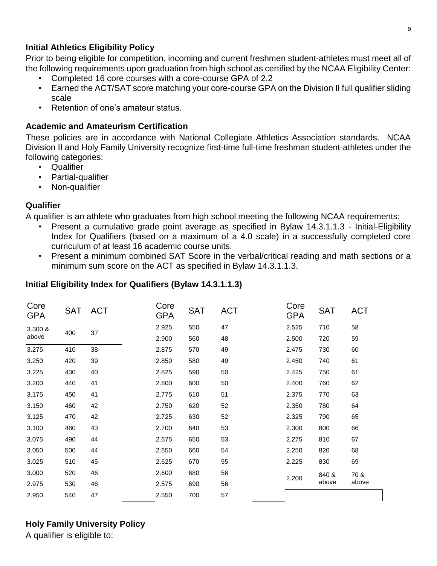#### **Initial Athletics Eligibility Policy**

Prior to being eligible for competition, incoming and current freshmen student-athletes must meet all of the following requirements upon graduation from high school as certified by the NCAA Eligibility Center:

- Completed 16 core courses with a core-course GPA of 2.2
- Earned the ACT/SAT score matching your core-course GPA on the Division II full qualifier sliding scale
- Retention of one's amateur status.

#### **Academic and Amateurism Certification**

These policies are in accordance with National Collegiate Athletics Association standards. NCAA Division II and Holy Family University recognize first-time full-time freshman student-athletes under the following categories:

- Qualifier
- Partial-qualifier
- Non-qualifier

#### **Qualifier**

A qualifier is an athlete who graduates from high school meeting the following NCAA requirements:

- Present a cumulative grade point average as specified in Bylaw 14.3.1.1.3 Initial-Eligibility Index for Qualifiers (based on a maximum of a 4.0 scale) in a successfully completed core curriculum of at least 16 academic course units.
- Present a minimum combined SAT Score in the verbal/critical reading and math sections or a minimum sum score on the ACT as specified in Bylaw 14.3.1.1.3.

| Core<br><b>GPA</b> | <b>SAT</b> | <b>ACT</b> | Core<br>GPA | <b>SAT</b> | <b>ACT</b> | Core<br><b>GPA</b> | <b>SAT</b> | <b>ACT</b> |
|--------------------|------------|------------|-------------|------------|------------|--------------------|------------|------------|
| 3.300 &            | 400        | 37         | 2.925       | 550        | 47         | 2.525              | 710        | 58         |
| above              |            |            | 2.900       | 560        | 48         | 2.500              | 720        | 59         |
| 3.275              | 410        | 38         | 2.875       | 570        | 49         | 2.475              | 730        | 60         |
| 3.250              | 420        | 39         | 2.850       | 580        | 49         | 2.450              | 740        | 61         |
| 3.225              | 430        | 40         | 2.825       | 590        | 50         | 2.425              | 750        | 61         |
| 3.200              | 440        | 41         | 2.800       | 600        | 50         | 2.400              | 760        | 62         |
| 3.175              | 450        | 41         | 2.775       | 610        | 51         | 2.375              | 770        | 63         |
| 3.150              | 460        | 42         | 2.750       | 620        | 52         | 2.350              | 780        | 64         |
| 3.125              | 470        | 42         | 2.725       | 630        | 52         | 2.325              | 790        | 65         |
| 3.100              | 480        | 43         | 2.700       | 640        | 53         | 2.300              | 800        | 66         |
| 3.075              | 490        | 44         | 2.675       | 650        | 53         | 2.275              | 810        | 67         |
| 3.050              | 500        | 44         | 2.650       | 660        | 54         | 2.250              | 820        | 68         |
| 3.025              | 510        | 45         | 2.625       | 670        | 55         | 2.225              | 830        | 69         |
| 3.000              | 520        | 46         | 2.600       | 680        | 56         | 2.200              | 840 &      | 70 &       |
| 2.975              | 530        | 46         | 2.575       | 690        | 56         |                    | above      | above      |
| 2.950              | 540        | 47         | 2.550       | 700        | 57         |                    |            |            |

### **Initial Eligibility Index for Qualifiers (Bylaw 14.3.1.1.3)**

## **Holy Family University Policy**

A qualifier is eligible to: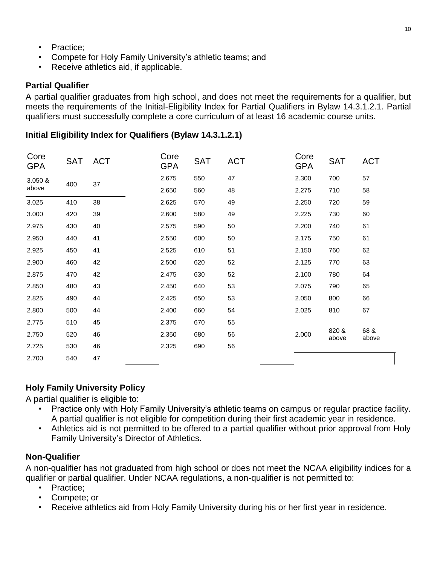- Practice:
- Compete for Holy Family University's athletic teams; and
- Receive athletics aid, if applicable.

### **Partial Qualifier**

A partial qualifier graduates from high school, and does not meet the requirements for a qualifier, but meets the requirements of the Initial-Eligibility Index for Partial Qualifiers in Bylaw 14.3.1.2.1. Partial qualifiers must successfully complete a core curriculum of at least 16 academic course units.

#### **Initial Eligibility Index for Qualifiers (Bylaw 14.3.1.2.1)**

| Core<br><b>GPA</b> | <b>SAT</b> | <b>ACT</b> | Core<br>GPA | <b>SAT</b> | <b>ACT</b> | Core<br><b>GPA</b> | <b>SAT</b>     | <b>ACT</b>    |
|--------------------|------------|------------|-------------|------------|------------|--------------------|----------------|---------------|
| 3.050 &            | 400        | 37         | 2.675       | 550        | 47         | 2.300              | 700            | 57            |
| above              |            |            | 2.650       | 560        | 48         | 2.275              | 710            | 58            |
| 3.025              | 410        | 38         | 2.625       | 570        | 49         | 2.250              | 720            | 59            |
| 3.000              | 420        | 39         | 2.600       | 580        | 49         | 2.225              | 730            | 60            |
| 2.975              | 430        | 40         | 2.575       | 590        | 50         | 2.200              | 740            | 61            |
| 2.950              | 440        | 41         | 2.550       | 600        | 50         | 2.175              | 750            | 61            |
| 2.925              | 450        | 41         | 2.525       | 610        | 51         | 2.150              | 760            | 62            |
| 2.900              | 460        | 42         | 2.500       | 620        | 52         | 2.125              | 770            | 63            |
| 2.875              | 470        | 42         | 2.475       | 630        | 52         | 2.100              | 780            | 64            |
| 2.850              | 480        | 43         | 2.450       | 640        | 53         | 2.075              | 790            | 65            |
| 2.825              | 490        | 44         | 2.425       | 650        | 53         | 2.050              | 800            | 66            |
| 2.800              | 500        | 44         | 2.400       | 660        | 54         | 2.025              | 810            | 67            |
| 2.775              | 510        | 45         | 2.375       | 670        | 55         |                    |                |               |
| 2.750              | 520        | 46         | 2.350       | 680        | 56         | 2.000              | 820 &<br>above | 68 &<br>above |
| 2.725              | 530        | 46         | 2.325       | 690        | 56         |                    |                |               |
| 2.700              | 540        | 47         |             |            |            |                    |                |               |
|                    |            |            |             |            |            |                    |                |               |

#### **Holy Family University Policy**

A partial qualifier is eligible to:

- Practice only with Holy Family University's athletic teams on campus or regular practice facility. A partial qualifier is not eligible for competition during their first academic year in residence.
- Athletics aid is not permitted to be offered to a partial qualifier without prior approval from Holy Family University's Director of Athletics.

#### **Non-Qualifier**

A non-qualifier has not graduated from high school or does not meet the NCAA eligibility indices for a qualifier or partial qualifier. Under NCAA regulations, a non-qualifier is not permitted to:

- Practice;
- Compete; or
- Receive athletics aid from Holy Family University during his or her first year in residence.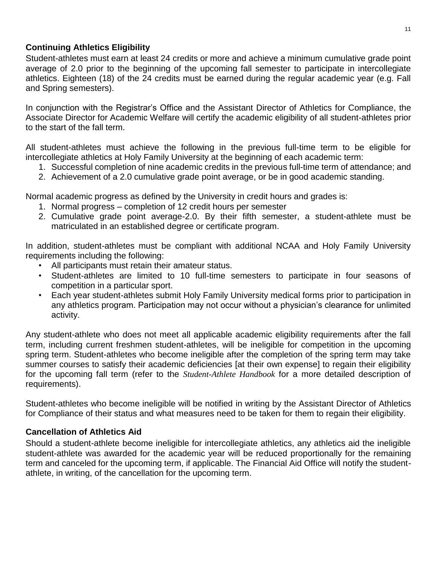#### **Continuing Athletics Eligibility**

Student-athletes must earn at least 24 credits or more and achieve a minimum cumulative grade point average of 2.0 prior to the beginning of the upcoming fall semester to participate in intercollegiate athletics. Eighteen (18) of the 24 credits must be earned during the regular academic year (e.g. Fall and Spring semesters).

In conjunction with the Registrar's Office and the Assistant Director of Athletics for Compliance, the Associate Director for Academic Welfare will certify the academic eligibility of all student-athletes prior to the start of the fall term.

All student-athletes must achieve the following in the previous full-time term to be eligible for intercollegiate athletics at Holy Family University at the beginning of each academic term:

- 1. Successful completion of nine academic credits in the previous full-time term of attendance; and
- 2. Achievement of a 2.0 cumulative grade point average, or be in good academic standing.

Normal academic progress as defined by the University in credit hours and grades is:

- 1. Normal progress completion of 12 credit hours per semester
- 2. Cumulative grade point average-2.0. By their fifth semester, a student-athlete must be matriculated in an established degree or certificate program.

In addition, student-athletes must be compliant with additional NCAA and Holy Family University requirements including the following:

- All participants must retain their amateur status.
- Student-athletes are limited to 10 full-time semesters to participate in four seasons of competition in a particular sport.
- Each year student-athletes submit Holy Family University medical forms prior to participation in any athletics program. Participation may not occur without a physician's clearance for unlimited activity.

Any student-athlete who does not meet all applicable academic eligibility requirements after the fall term, including current freshmen student-athletes, will be ineligible for competition in the upcoming spring term. Student-athletes who become ineligible after the completion of the spring term may take summer courses to satisfy their academic deficiencies [at their own expense] to regain their eligibility for the upcoming fall term (refer to the *Student-Athlete Handbook* for a more detailed description of requirements).

Student-athletes who become ineligible will be notified in writing by the Assistant Director of Athletics for Compliance of their status and what measures need to be taken for them to regain their eligibility.

#### **Cancellation of Athletics Aid**

Should a student-athlete become ineligible for intercollegiate athletics, any athletics aid the ineligible student-athlete was awarded for the academic year will be reduced proportionally for the remaining term and canceled for the upcoming term, if applicable. The Financial Aid Office will notify the studentathlete, in writing, of the cancellation for the upcoming term.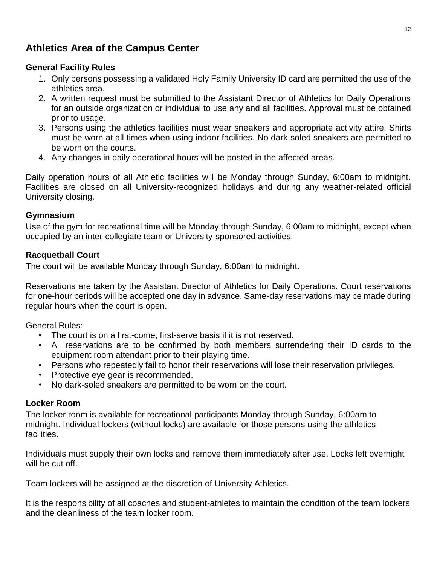# <span id="page-11-0"></span>**Athletics Area of the Campus Center**

#### **General Facility Rules**

- 1. Only persons possessing a validated Holy Family University ID card are permitted the use of the athletics area.
- 2. A written request must be submitted to the Assistant Director of Athletics for Daily Operations for an outside organization or individual to use any and all facilities. Approval must be obtained prior to usage.
- 3. Persons using the athletics facilities must wear sneakers and appropriate activity attire. Shirts must be worn at all times when using indoor facilities. No dark-soled sneakers are permitted to be worn on the courts.
- 4. Any changes in daily operational hours will be posted in the affected areas.

Daily operation hours of all Athletic facilities will be Monday through Sunday, 6:00am to midnight. Facilities are closed on all University-recognized holidays and during any weather-related official University closing.

#### **Gymnasium**

Use of the gym for recreational time will be Monday through Sunday, 6:00am to midnight, except when occupied by an inter-collegiate team or University-sponsored activities.

#### **Racquetball Court**

The court will be available Monday through Sunday, 6:00am to midnight.

Reservations are taken by the Assistant Director of Athletics for Daily Operations. Court reservations for one-hour periods will be accepted one day in advance. Same-day reservations may be made during regular hours when the court is open.

General Rules:

- The court is on a first-come, first-serve basis if it is not reserved.
- All reservations are to be confirmed by both members surrendering their ID cards to the equipment room attendant prior to their playing time.
- Persons who repeatedly fail to honor their reservations will lose their reservation privileges.
- Protective eye gear is recommended.
- No dark-soled sneakers are permitted to be worn on the court.

#### **Locker Room**

The locker room is available for recreational participants Monday through Sunday, 6:00am to midnight. Individual lockers (without locks) are available for those persons using the athletics facilities.

Individuals must supply their own locks and remove them immediately after use. Locks left overnight will be cut off.

Team lockers will be assigned at the discretion of University Athletics.

It is the responsibility of all coaches and student-athletes to maintain the condition of the team lockers and the cleanliness of the team locker room.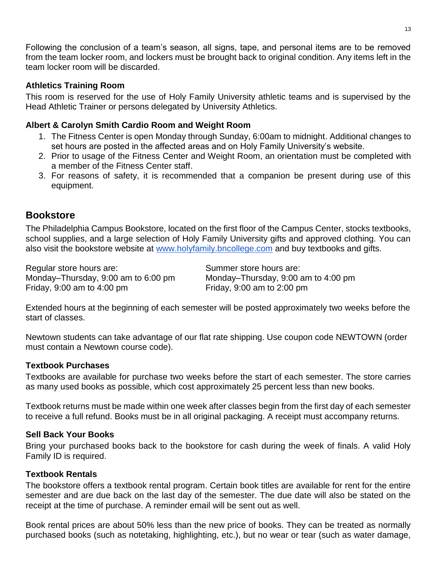Following the conclusion of a team's season, all signs, tape, and personal items are to be removed from the team locker room, and lockers must be brought back to original condition. Any items left in the team locker room will be discarded.

#### **Athletics Training Room**

This room is reserved for the use of Holy Family University athletic teams and is supervised by the Head Athletic Trainer or persons delegated by University Athletics.

#### **Albert & Carolyn Smith Cardio Room and Weight Room**

- 1. The Fitness Center is open Monday through Sunday, 6:00am to midnight. Additional changes to set hours are posted in the affected areas and on Holy Family University's website.
- 2. Prior to usage of the Fitness Center and Weight Room, an orientation must be completed with a member of the Fitness Center staff.
- 3. For reasons of safety, it is recommended that a companion be present during use of this equipment.

## <span id="page-12-0"></span>**Bookstore**

The Philadelphia Campus Bookstore, located on the first floor of the Campus Center, stocks textbooks, school supplies, and a large selection of Holy Family University gifts and approved clothing. You can also visit the bookstore website at [www.holyfamily.bncollege.com](http://www.holyfamily.bncollege.com/) and buy textbooks and gifts.

Regular store hours are: Summer store hours are: Monday–Thursday, 9:00 am to 6:00 pm Monday–Thursday, 9:00 am to 4:00 pm Friday, 9:00 am to 4:00 pm Friday, 9:00 am to 2:00 pm

Extended hours at the beginning of each semester will be posted approximately two weeks before the start of classes.

Newtown students can take advantage of our flat rate shipping. Use coupon code NEWTOWN (order must contain a Newtown course code).

#### **Textbook Purchases**

Textbooks are available for purchase two weeks before the start of each semester. The store carries as many used books as possible, which cost approximately 25 percent less than new books.

Textbook returns must be made within one week after classes begin from the first day of each semester to receive a full refund. Books must be in all original packaging. A receipt must accompany returns.

#### **Sell Back Your Books**

Bring your purchased books back to the bookstore for cash during the week of finals. A valid Holy Family ID is required.

#### **Textbook Rentals**

The bookstore offers a textbook rental program. Certain book titles are available for rent for the entire semester and are due back on the last day of the semester. The due date will also be stated on the receipt at the time of purchase. A reminder email will be sent out as well.

Book rental prices are about 50% less than the new price of books. They can be treated as normally purchased books (such as notetaking, highlighting, etc.), but no wear or tear (such as water damage,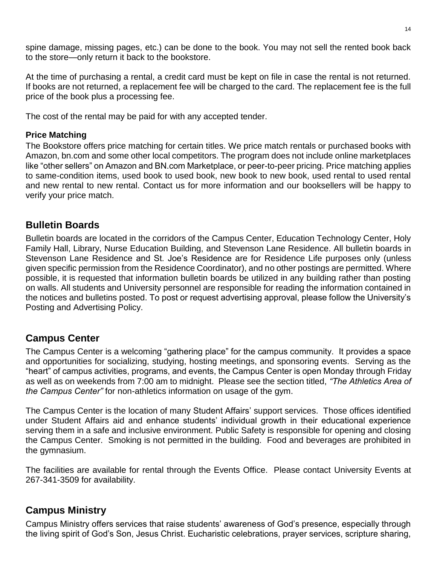spine damage, missing pages, etc.) can be done to the book. You may not sell the rented book back to the store—only return it back to the bookstore.

At the time of purchasing a rental, a credit card must be kept on file in case the rental is not returned. If books are not returned, a replacement fee will be charged to the card. The replacement fee is the full price of the book plus a processing fee.

The cost of the rental may be paid for with any accepted tender.

### **Price Matching**

The Bookstore offers price matching for certain titles. We price match rentals or purchased books with Amazon, bn.com and some other local competitors. The program does not include online marketplaces like "other sellers" on Amazon and BN.com Marketplace, or peer-to-peer pricing. Price matching applies to same-condition items, used book to used book, new book to new book, used rental to used rental and new rental to new rental. Contact us for more information and our booksellers will be happy to verify your price match.

# <span id="page-13-0"></span>**Bulletin Boards**

Bulletin boards are located in the corridors of the Campus Center, Education Technology Center, Holy Family Hall, Library, Nurse Education Building, and Stevenson Lane Residence. All bulletin boards in Stevenson Lane Residence and St. Joe's Residence are for Residence Life purposes only (unless given specific permission from the Residence Coordinator), and no other postings are permitted. Where possible, it is requested that information bulletin boards be utilized in any building rather than posting on walls. All students and University personnel are responsible for reading the information contained in the notices and bulletins posted. To post or request advertising approval, please follow the University's Posting and Advertising Policy.

# <span id="page-13-1"></span>**Campus Center**

The Campus Center is a welcoming "gathering place" for the campus community. It provides a space and opportunities for socializing, studying, hosting meetings, and sponsoring events. Serving as the "heart" of campus activities, programs, and events, the Campus Center is open Monday through Friday as well as on weekends from 7:00 am to midnight. Please see the section titled, *"The Athletics Area of the Campus Center"* for non-athletics information on usage of the gym.

The Campus Center is the location of many Student Affairs' support services. Those offices identified under Student Affairs aid and enhance students' individual growth in their educational experience serving them in a safe and inclusive environment. Public Safety is responsible for opening and closing the Campus Center. Smoking is not permitted in the building. Food and beverages are prohibited in the gymnasium.

The facilities are available for rental through the Events Office. Please contact University Events at 267-341-3509 for availability.

# <span id="page-13-2"></span>**Campus Ministry**

Campus Ministry offers services that raise students' awareness of God's presence, especially through the living spirit of God's Son, Jesus Christ. Eucharistic celebrations, prayer services, scripture sharing,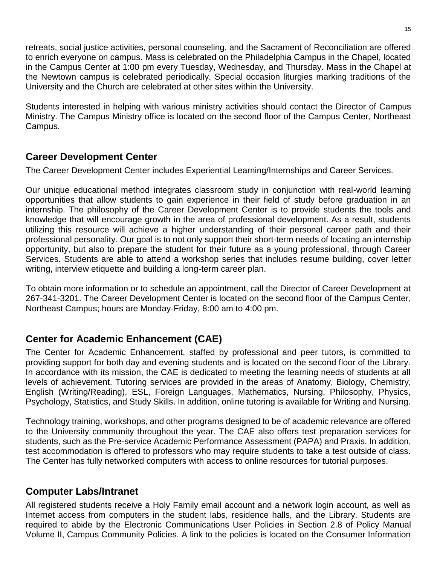retreats, social justice activities, personal counseling, and the Sacrament of Reconciliation are offered to enrich everyone on campus. Mass is celebrated on the Philadelphia Campus in the Chapel, located in the Campus Center at 1:00 pm every Tuesday, Wednesday, and Thursday. Mass in the Chapel at the Newtown campus is celebrated periodically. Special occasion liturgies marking traditions of the University and the Church are celebrated at other sites within the University.

Students interested in helping with various ministry activities should contact the Director of Campus Ministry. The Campus Ministry office is located on the second floor of the Campus Center, Northeast Campus.

## <span id="page-14-0"></span>**Career Development Center**

The Career Development Center includes Experiential Learning/Internships and Career Services.

Our unique educational method integrates classroom study in conjunction with real-world learning opportunities that allow students to gain experience in their field of study before graduation in an internship. The philosophy of the Career Development Center is to provide students the tools and knowledge that will encourage growth in the area of professional development. As a result, students utilizing this resource will achieve a higher understanding of their personal career path and their professional personality. Our goal is to not only support their short-term needs of locating an internship opportunity, but also to prepare the student for their future as a young professional, through Career Services. Students are able to attend a workshop series that includes resume building, cover letter writing, interview etiquette and building a long-term career plan.

To obtain more information or to schedule an appointment, call the Director of Career Development at 267-341-3201. The Career Development Center is located on the second floor of the Campus Center, Northeast Campus; hours are Monday-Friday, 8:00 am to 4:00 pm.

# <span id="page-14-1"></span>**Center for Academic Enhancement (CAE)**

The Center for Academic Enhancement, staffed by professional and peer tutors, is committed to providing support for both day and evening students and is located on the second floor of the Library. In accordance with its mission, the CAE is dedicated to meeting the learning needs of students at all levels of achievement. Tutoring services are provided in the areas of Anatomy, Biology, Chemistry, English (Writing/Reading), ESL, Foreign Languages, Mathematics, Nursing, Philosophy, Physics, Psychology, Statistics, and Study Skills. In addition, online tutoring is available for Writing and Nursing.

Technology training, workshops, and other programs designed to be of academic relevance are offered to the University community throughout the year. The CAE also offers test preparation services for students, such as the Pre-service Academic Performance Assessment (PAPA) and Praxis. In addition, test accommodation is offered to professors who may require students to take a test outside of class. The Center has fully networked computers with access to online resources for tutorial purposes.

# <span id="page-14-2"></span>**Computer Labs/Intranet**

All registered students receive a Holy Family email account and a network login account, as well as Internet access from computers in the student labs, residence halls, and the Library. Students are required to abide by the Electronic Communications User Policies in Section 2.8 of Policy Manual Volume II, Campus Community Policies. A link to the policies is located on the Consumer Information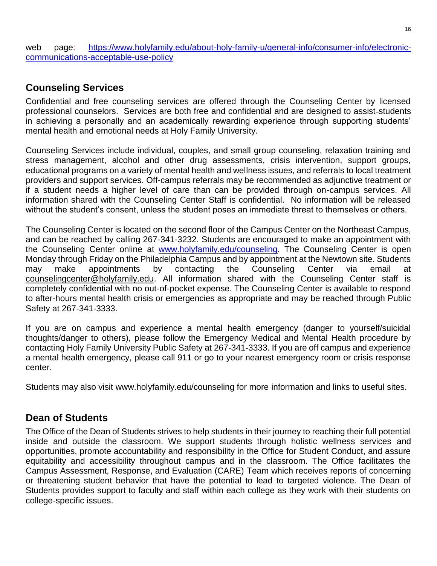web page: [https://www.holyfamily.edu/about-holy-family-u/general-info/consumer-info/electronic](https://www.holyfamily.edu/about-holy-family-u/general-info/consumer-info/electronic-communications-acceptable-use-policy)[communications-acceptable-use-policy](https://www.holyfamily.edu/about-holy-family-u/general-info/consumer-info/electronic-communications-acceptable-use-policy)

# <span id="page-15-0"></span>**Counseling Services**

Confidential and free counseling services are offered through the Counseling Center by licensed professional counselors. Services are both free and confidential and are designed to assist students in achieving a personally and an academically rewarding experience through supporting students' mental health and emotional needs at Holy Family University.

Counseling Services include individual, couples, and small group counseling, relaxation training and stress management, alcohol and other drug assessments, crisis intervention, support groups, educational programs on a variety of mental health and wellness issues, and referrals to local treatment providers and support services. Off-campus referrals may be recommended as adjunctive treatment or if a student needs a higher level of care than can be provided through on-campus services. All information shared with the Counseling Center Staff is confidential. No information will be released without the student's consent, unless the student poses an immediate threat to themselves or others.

The Counseling Center is located on the second floor of the Campus Center on the Northeast Campus, and can be reached by calling 267-341-3232. Students are encouraged to make an appointment with the Counseling Center online at [www.holyfamily.edu/counseling.](http://www.holyfamily.edu/counseling) The Counseling Center is open Monday through Friday on the Philadelphia Campus and by appointment at the Newtown site. Students may make appointments by contacting the Counseling Center via email at [counselingcenter@holyfamily.edu.](mailto:counselingcenter@holyfamily.edu) All information shared with the Counseling Center staff is completely confidential with no out-of-pocket expense. The Counseling Center is available to respond to after-hours mental health crisis or emergencies as appropriate and may be reached through Public Safety at 267-341-3333.

If you are on campus and experience a mental health emergency (danger to yourself/suicidal thoughts/danger to others), please follow the Emergency Medical and Mental Health procedure by contacting Holy Family University Public Safety at 267-341-3333. If you are off campus and experience a mental health emergency, please call 911 or go to your nearest emergency room or crisis response center.

Students may also visit www.holyfamily.edu/counseling for more information and links to useful sites.

# <span id="page-15-1"></span>**Dean of Students**

The Office of the Dean of Students strives to help students in their journey to reaching their full potential inside and outside the classroom. We support students through holistic wellness services and opportunities, promote accountability and responsibility in the Office for Student Conduct, and assure equitability and accessibility throughout campus and in the classroom. The Office facilitates the Campus Assessment, Response, and Evaluation (CARE) Team which receives reports of concerning or threatening student behavior that have the potential to lead to targeted violence. The Dean of Students provides support to faculty and staff within each college as they work with their students on college-specific issues.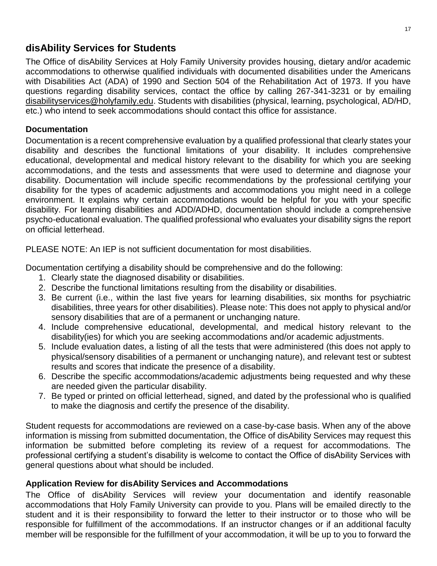# <span id="page-16-0"></span>**disAbility Services for Students**

The Office of disAbility Services at Holy Family University provides housing, dietary and/or academic accommodations to otherwise qualified individuals with documented disabilities under the Americans with Disabilities Act (ADA) of 1990 and Section 504 of the Rehabilitation Act of 1973. If you have questions regarding disability services, contact the office by calling 267-341-3231 or by emailing [disabilityservices@holyfamily.edu.](mailto:disabilityservices@holyfamily.edu) Students with disabilities (physical, learning, psychological, AD/HD, etc.) who intend to seek accommodations should contact this office for assistance.

### **Documentation**

Documentation is a recent comprehensive evaluation by a qualified professional that clearly states your disability and describes the functional limitations of your disability. It includes comprehensive educational, developmental and medical history relevant to the disability for which you are seeking accommodations, and the tests and assessments that were used to determine and diagnose your disability. Documentation will include specific recommendations by the professional certifying your disability for the types of academic adjustments and accommodations you might need in a college environment. It explains why certain accommodations would be helpful for you with your specific disability. For learning disabilities and ADD/ADHD, documentation should include a comprehensive psycho-educational evaluation. The qualified professional who evaluates your disability signs the report on official letterhead.

PLEASE NOTE: An IEP is not sufficient documentation for most disabilities.

Documentation certifying a disability should be comprehensive and do the following:

- 1. Clearly state the diagnosed disability or disabilities.
- 2. Describe the functional limitations resulting from the disability or disabilities.
- 3. Be current (i.e., within the last five years for learning disabilities, six months for psychiatric disabilities, three years for other disabilities). Please note: This does not apply to physical and/or sensory disabilities that are of a permanent or unchanging nature.
- 4. Include comprehensive educational, developmental, and medical history relevant to the disability(ies) for which you are seeking accommodations and/or academic adjustments.
- 5. Include evaluation dates, a listing of all the tests that were administered (this does not apply to physical/sensory disabilities of a permanent or unchanging nature), and relevant test or subtest results and scores that indicate the presence of a disability.
- 6. Describe the specific accommodations/academic adjustments being requested and why these are needed given the particular disability.
- 7. Be typed or printed on official letterhead, signed, and dated by the professional who is qualified to make the diagnosis and certify the presence of the disability.

Student requests for accommodations are reviewed on a case-by-case basis. When any of the above information is missing from submitted documentation, the Office of disAbility Services may request this information be submitted before completing its review of a request for accommodations. The professional certifying a student's disability is welcome to contact the Office of disAbility Services with general questions about what should be included.

#### **Application Review for disAbility Services and Accommodations**

The Office of disAbility Services will review your documentation and identify reasonable accommodations that Holy Family University can provide to you. Plans will be emailed directly to the student and it is their responsibility to forward the letter to their instructor or to those who will be responsible for fulfillment of the accommodations. If an instructor changes or if an additional faculty member will be responsible for the fulfillment of your accommodation, it will be up to you to forward the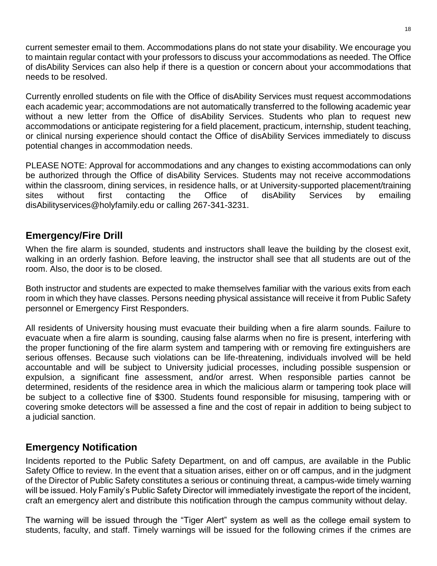current semester email to them. Accommodations plans do not state your disability. We encourage you to maintain regular contact with your professors to discuss your accommodations as needed. The Office of disAbility Services can also help if there is a question or concern about your accommodations that needs to be resolved.

Currently enrolled students on file with the Office of disAbility Services must request accommodations each academic year; accommodations are not automatically transferred to the following academic year without a new letter from the Office of disAbility Services. Students who plan to request new accommodations or anticipate registering for a field placement, practicum, internship, student teaching, or clinical nursing experience should contact the Office of disAbility Services immediately to discuss potential changes in accommodation needs.

PLEASE NOTE: Approval for accommodations and any changes to existing accommodations can only be authorized through the Office of disAbility Services. Students may not receive accommodations within the classroom, dining services, in residence halls, or at University-supported placement/training sites without first contacting the Office of disAbility Services by emailing disAbilityservices@holyfamily.edu or calling 267-341-3231.

# <span id="page-17-0"></span>**Emergency/Fire Drill**

When the fire alarm is sounded, students and instructors shall leave the building by the closest exit, walking in an orderly fashion. Before leaving, the instructor shall see that all students are out of the room. Also, the door is to be closed.

Both instructor and students are expected to make themselves familiar with the various exits from each room in which they have classes. Persons needing physical assistance will receive it from Public Safety personnel or Emergency First Responders.

All residents of University housing must evacuate their building when a fire alarm sounds. Failure to evacuate when a fire alarm is sounding, causing false alarms when no fire is present, interfering with the proper functioning of the fire alarm system and tampering with or removing fire extinguishers are serious offenses. Because such violations can be life-threatening, individuals involved will be held accountable and will be subject to University judicial processes, including possible suspension or expulsion, a significant fine assessment, and/or arrest. When responsible parties cannot be determined, residents of the residence area in which the malicious alarm or tampering took place will be subject to a collective fine of \$300. Students found responsible for misusing, tampering with or covering smoke detectors will be assessed a fine and the cost of repair in addition to being subject to a judicial sanction.

# <span id="page-17-1"></span>**Emergency Notification**

Incidents reported to the Public Safety Department, on and off campus, are available in the Public Safety Office to review. In the event that a situation arises, either on or off campus, and in the judgment of the Director of Public Safety constitutes a serious or continuing threat, a campus-wide timely warning will be issued. Holy Family's Public Safety Director will immediately investigate the report of the incident, craft an emergency alert and distribute this notification through the campus community without delay.

The warning will be issued through the "Tiger Alert" system as well as the college email system to students, faculty, and staff. Timely warnings will be issued for the following crimes if the crimes are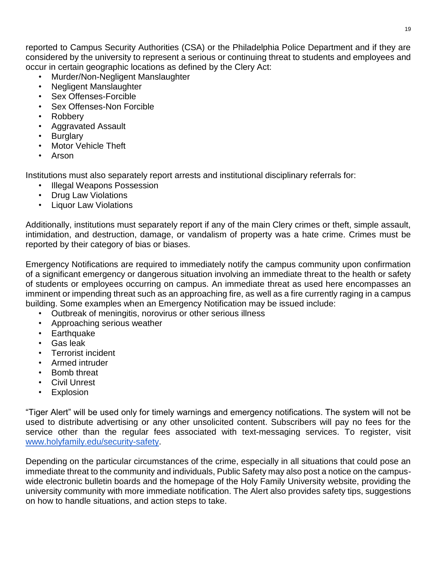reported to Campus Security Authorities (CSA) or the Philadelphia Police Department and if they are considered by the university to represent a serious or continuing threat to students and employees and occur in certain geographic locations as defined by the Clery Act:

- Murder/Non-Negligent Manslaughter
- Negligent Manslaughter
- Sex Offenses-Forcible
- Sex Offenses-Non Forcible
- Robbery
- Aggravated Assault
- **Burglary**
- **Motor Vehicle Theft**
- Arson

Institutions must also separately report arrests and institutional disciplinary referrals for:

- Illegal Weapons Possession
- Drug Law Violations
- Liquor Law Violations

Additionally, institutions must separately report if any of the main Clery crimes or theft, simple assault, intimidation, and destruction, damage, or vandalism of property was a hate crime. Crimes must be reported by their category of bias or biases.

Emergency Notifications are required to immediately notify the campus community upon confirmation of a significant emergency or dangerous situation involving an immediate threat to the health or safety of students or employees occurring on campus. An immediate threat as used here encompasses an imminent or impending threat such as an approaching fire, as well as a fire currently raging in a campus building. Some examples when an Emergency Notification may be issued include:

- Outbreak of meningitis, norovirus or other serious illness
- Approaching serious weather
- Earthquake
- Gas leak
- Terrorist incident
- Armed intruder
- Bomb threat
- Civil Unrest
- **Explosion**

"Tiger Alert" will be used only for timely warnings and emergency notifications. The system will not be used to distribute advertising or any other unsolicited content. Subscribers will pay no fees for the service other than the regular fees associated with text-messaging services. To register, visit [www.holyfamily.edu/security-safety.](http://www.holyfamily.edu/security-safety)

Depending on the particular circumstances of the crime, especially in all situations that could pose an immediate threat to the community and individuals, Public Safety may also post a notice on the campuswide electronic bulletin boards and the homepage of the Holy Family University website, providing the university community with more immediate notification. The Alert also provides safety tips, suggestions on how to handle situations, and action steps to take.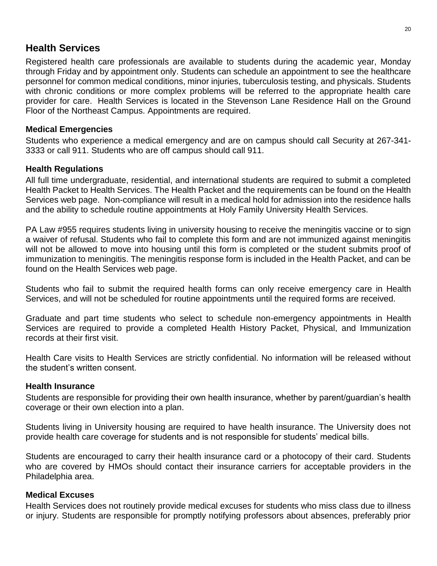## <span id="page-19-0"></span>**Health Services**

Registered health care professionals are available to students during the academic year, Monday through Friday and by appointment only. Students can schedule an appointment to see the healthcare personnel for common medical conditions, minor injuries, tuberculosis testing, and physicals. Students with chronic conditions or more complex problems will be referred to the appropriate health care provider for care. Health Services is located in the Stevenson Lane Residence Hall on the Ground Floor of the Northeast Campus. Appointments are required.

#### **Medical Emergencies**

Students who experience a medical emergency and are on campus should call Security at 267-341- 3333 or call 911. Students who are off campus should call 911.

#### **Health Regulations**

All full time undergraduate, residential, and international students are required to submit a completed Health Packet to Health Services. The Health Packet and the requirements can be found on the Health Services web page. Non-compliance will result in a medical hold for admission into the residence halls and the ability to schedule routine appointments at Holy Family University Health Services.

PA Law #955 requires students living in university housing to receive the meningitis vaccine or to sign a waiver of refusal. Students who fail to complete this form and are not immunized against meningitis will not be allowed to move into housing until this form is completed or the student submits proof of immunization to meningitis. The meningitis response form is included in the Health Packet, and can be found on the Health Services web page.

Students who fail to submit the required health forms can only receive emergency care in Health Services, and will not be scheduled for routine appointments until the required forms are received.

Graduate and part time students who select to schedule non-emergency appointments in Health Services are required to provide a completed Health History Packet, Physical, and Immunization records at their first visit.

Health Care visits to Health Services are strictly confidential. No information will be released without the student's written consent.

#### **Health Insurance**

Students are responsible for providing their own health insurance, whether by parent/guardian's health coverage or their own election into a plan.

Students living in University housing are required to have health insurance. The University does not provide health care coverage for students and is not responsible for students' medical bills.

Students are encouraged to carry their health insurance card or a photocopy of their card. Students who are covered by HMOs should contact their insurance carriers for acceptable providers in the Philadelphia area.

#### **Medical Excuses**

Health Services does not routinely provide medical excuses for students who miss class due to illness or injury. Students are responsible for promptly notifying professors about absences, preferably prior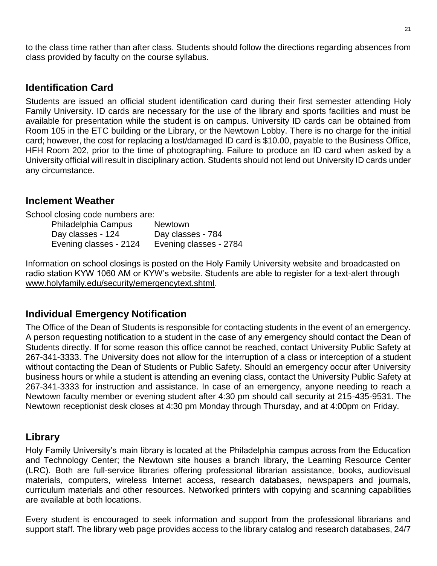to the class time rather than after class. Students should follow the directions regarding absences from class provided by faculty on the course syllabus.

## <span id="page-20-0"></span>**Identification Card**

Students are issued an official student identification card during their first semester attending Holy Family University. ID cards are necessary for the use of the library and sports facilities and must be available for presentation while the student is on campus. University ID cards can be obtained from Room 105 in the ETC building or the Library, or the Newtown Lobby. There is no charge for the initial card; however, the cost for replacing a lost/damaged ID card is \$10.00, payable to the Business Office, HFH Room 202, prior to the time of photographing. Failure to produce an ID card when asked by a University official will result in disciplinary action. Students should not lend out University ID cards under any circumstance.

### <span id="page-20-1"></span>**Inclement Weather**

School closing code numbers are:

| Philadelphia Campus    | <b>Newtown</b>         |
|------------------------|------------------------|
| Day classes - 124      | Day classes - 784      |
| Evening classes - 2124 | Evening classes - 2784 |

Information on school closings is posted on the Holy Family University website and broadcasted on radio station KYW 1060 AM or KYW's website. Students are able to register for a text-alert through [www.holyfamily.edu/security/emergencytext.shtml.](http://www.holyfamily.edu/security/emergencytext.shtml)

## <span id="page-20-2"></span>**Individual Emergency Notification**

The Office of the Dean of Students is responsible for contacting students in the event of an emergency. A person requesting notification to a student in the case of any emergency should contact the Dean of Students directly. If for some reason this office cannot be reached, contact University Public Safety at 267-341-3333. The University does not allow for the interruption of a class or interception of a student without contacting the Dean of Students or Public Safety. Should an emergency occur after University business hours or while a student is attending an evening class, contact the University Public Safety at 267-341-3333 for instruction and assistance. In case of an emergency, anyone needing to reach a Newtown faculty member or evening student after 4:30 pm should call security at 215-435-9531. The Newtown receptionist desk closes at 4:30 pm Monday through Thursday, and at 4:00pm on Friday.

# <span id="page-20-3"></span>**Library**

Holy Family University's main library is located at the Philadelphia campus across from the Education and Technology Center; the Newtown site houses a branch library, the Learning Resource Center (LRC). Both are full-service libraries offering professional librarian assistance, books, audiovisual materials, computers, wireless Internet access, research databases, newspapers and journals, curriculum materials and other resources. Networked printers with copying and scanning capabilities are available at both locations.

Every student is encouraged to seek information and support from the professional librarians and support staff. The library web page provides access to the library catalog and research databases, 24/7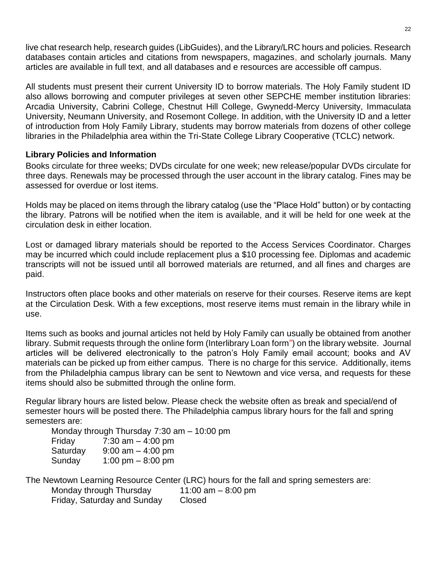live chat research help, research guides (LibGuides), and the Library/LRC hours and policies. Research databases contain articles and citations from newspapers, magazines, and scholarly journals. Many articles are available in full text, and all databases and e resources are accessible off campus.

All students must present their current University ID to borrow materials. The Holy Family student ID also allows borrowing and computer privileges at seven other SEPCHE member institution libraries: Arcadia University, Cabrini College, Chestnut Hill College, Gwynedd-Mercy University, Immaculata University, Neumann University, and Rosemont College. In addition, with the University ID and a letter of introduction from Holy Family Library, students may borrow materials from dozens of other college libraries in the Philadelphia area within the Tri-State College Library Cooperative (TCLC) network.

#### **Library Policies and Information**

Books circulate for three weeks; DVDs circulate for one week; new release/popular DVDs circulate for three days. Renewals may be processed through the user account in the library catalog. Fines may be assessed for overdue or lost items.

Holds may be placed on items through the library catalog (use the "Place Hold" button) or by contacting the library. Patrons will be notified when the item is available, and it will be held for one week at the circulation desk in either location.

Lost or damaged library materials should be reported to the Access Services Coordinator. Charges may be incurred which could include replacement plus a \$10 processing fee. Diplomas and academic transcripts will not be issued until all borrowed materials are returned, and all fines and charges are paid.

Instructors often place books and other materials on reserve for their courses. Reserve items are kept at the Circulation Desk. With a few exceptions, most reserve items must remain in the library while in use.

Items such as books and journal articles not held by Holy Family can usually be obtained from another library. Submit requests through the online form (Interlibrary Loan form") on the library website. Journal articles will be delivered electronically to the patron's Holy Family email account; books and AV materials can be picked up from either campus. There is no charge for this service. Additionally, items from the Philadelphia campus library can be sent to Newtown and vice versa, and requests for these items should also be submitted through the online form.

Regular library hours are listed below. Please check the website often as break and special/end of semester hours will be posted there. The Philadelphia campus library hours for the fall and spring semesters are:

Monday through Thursday 7:30 am – 10:00 pm Friday 7:30 am – 4:00 pm Saturday  $9:00 \text{ am} - 4:00 \text{ pm}$ Sunday 1:00 pm – 8:00 pm

The Newtown Learning Resource Center (LRC) hours for the fall and spring semesters are: Monday through Thursday  $11:00$  am  $-8:00$  pm Friday, Saturday and Sunday Closed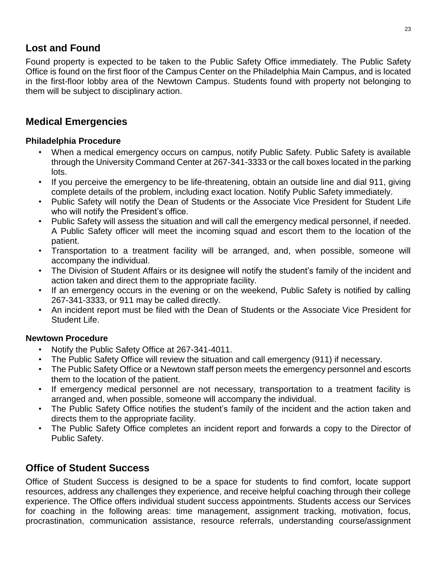# <span id="page-22-0"></span>**Lost and Found**

Found property is expected to be taken to the Public Safety Office immediately. The Public Safety Office is found on the first floor of the Campus Center on the Philadelphia Main Campus, and is located in the first-floor lobby area of the Newtown Campus. Students found with property not belonging to them will be subject to disciplinary action.

## <span id="page-22-1"></span>**Medical Emergencies**

#### **Philadelphia Procedure**

- When a medical emergency occurs on campus, notify Public Safety. Public Safety is available through the University Command Center at 267-341-3333 or the call boxes located in the parking lots.
- If you perceive the emergency to be life-threatening, obtain an outside line and dial 911, giving complete details of the problem, including exact location. Notify Public Safety immediately.
- Public Safety will notify the Dean of Students or the Associate Vice President for Student Life who will notify the President's office.
- Public Safety will assess the situation and will call the emergency medical personnel, if needed. A Public Safety officer will meet the incoming squad and escort them to the location of the patient.
- Transportation to a treatment facility will be arranged, and, when possible, someone will accompany the individual.
- The Division of Student Affairs or its designee will notify the student's family of the incident and action taken and direct them to the appropriate facility.
- If an emergency occurs in the evening or on the weekend, Public Safety is notified by calling 267-341-3333, or 911 may be called directly.
- An incident report must be filed with the Dean of Students or the Associate Vice President for Student Life.

#### **Newtown Procedure**

- Notify the Public Safety Office at 267-341-4011.
- The Public Safety Office will review the situation and call emergency (911) if necessary.
- The Public Safety Office or a Newtown staff person meets the emergency personnel and escorts them to the location of the patient.
- If emergency medical personnel are not necessary, transportation to a treatment facility is arranged and, when possible, someone will accompany the individual.
- The Public Safety Office notifies the student's family of the incident and the action taken and directs them to the appropriate facility.
- The Public Safety Office completes an incident report and forwards a copy to the Director of Public Safety.

# <span id="page-22-2"></span>**Office of Student Success**

Office of Student Success is designed to be a space for students to find comfort, locate support resources, address any challenges they experience, and receive helpful coaching through their college experience. The Office offers individual student success appointments. Students access our Services for coaching in the following areas: time management, assignment tracking, motivation, focus, procrastination, communication assistance, resource referrals, understanding course/assignment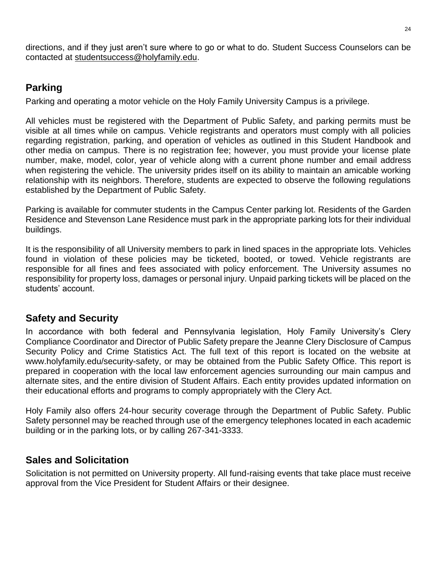directions, and if they just aren't sure where to go or what to do. Student Success Counselors can be contacted at [studentsuccess@holyfamily.edu.](mailto:studentsuccess@holyfamily.edu)

# <span id="page-23-0"></span>**Parking**

Parking and operating a motor vehicle on the Holy Family University Campus is a privilege.

All vehicles must be registered with the Department of Public Safety, and parking permits must be visible at all times while on campus. Vehicle registrants and operators must comply with all policies regarding registration, parking, and operation of vehicles as outlined in this Student Handbook and other media on campus. There is no registration fee; however, you must provide your license plate number, make, model, color, year of vehicle along with a current phone number and email address when registering the vehicle. The university prides itself on its ability to maintain an amicable working relationship with its neighbors. Therefore, students are expected to observe the following regulations established by the Department of Public Safety.

Parking is available for commuter students in the Campus Center parking lot. Residents of the Garden Residence and Stevenson Lane Residence must park in the appropriate parking lots for their individual buildings.

It is the responsibility of all University members to park in lined spaces in the appropriate lots. Vehicles found in violation of these policies may be ticketed, booted, or towed. Vehicle registrants are responsible for all fines and fees associated with policy enforcement. The University assumes no responsibility for property loss, damages or personal injury. Unpaid parking tickets will be placed on the students' account.

# <span id="page-23-1"></span>**Safety and Security**

In accordance with both federal and Pennsylvania legislation, Holy Family University's Clery Compliance Coordinator and Director of Public Safety prepare the Jeanne Clery Disclosure of Campus Security Policy and Crime Statistics Act. The full text of this report is located on the website at www.holyfamily.edu/security-safety, or may be obtained from the Public Safety Office. This report is prepared in cooperation with the local law enforcement agencies surrounding our main campus and alternate sites, and the entire division of Student Affairs. Each entity provides updated information on their educational efforts and programs to comply appropriately with the Clery Act.

Holy Family also offers 24-hour security coverage through the Department of Public Safety. Public Safety personnel may be reached through use of the emergency telephones located in each academic building or in the parking lots, or by calling 267-341-3333.

# <span id="page-23-2"></span>**Sales and Solicitation**

Solicitation is not permitted on University property. All fund-raising events that take place must receive approval from the Vice President for Student Affairs or their designee.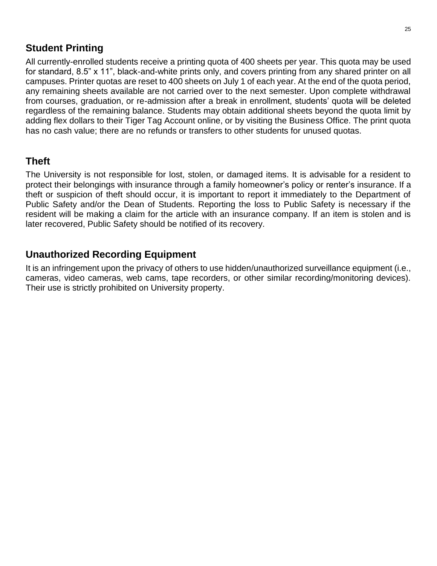# <span id="page-24-0"></span>**Student Printing**

All currently-enrolled students receive a printing quota of 400 sheets per year. This quota may be used for standard, 8.5" x 11", black-and-white prints only, and covers printing from any shared printer on all campuses. Printer quotas are reset to 400 sheets on July 1 of each year. At the end of the quota period, any remaining sheets available are not carried over to the next semester. Upon complete withdrawal from courses, graduation, or re-admission after a break in enrollment, students' quota will be deleted regardless of the remaining balance. Students may obtain additional sheets beyond the quota limit by adding flex dollars to their Tiger Tag Account online, or by visiting the Business Office. The print quota has no cash value; there are no refunds or transfers to other students for unused quotas.

## <span id="page-24-1"></span>**Theft**

The University is not responsible for lost, stolen, or damaged items. It is advisable for a resident to protect their belongings with insurance through a family homeowner's policy or renter's insurance. If a theft or suspicion of theft should occur, it is important to report it immediately to the Department of Public Safety and/or the Dean of Students. Reporting the loss to Public Safety is necessary if the resident will be making a claim for the article with an insurance company. If an item is stolen and is later recovered, Public Safety should be notified of its recovery.

# <span id="page-24-2"></span>**Unauthorized Recording Equipment**

It is an infringement upon the privacy of others to use hidden/unauthorized surveillance equipment (i.e., cameras, video cameras, web cams, tape recorders, or other similar recording/monitoring devices). Their use is strictly prohibited on University property.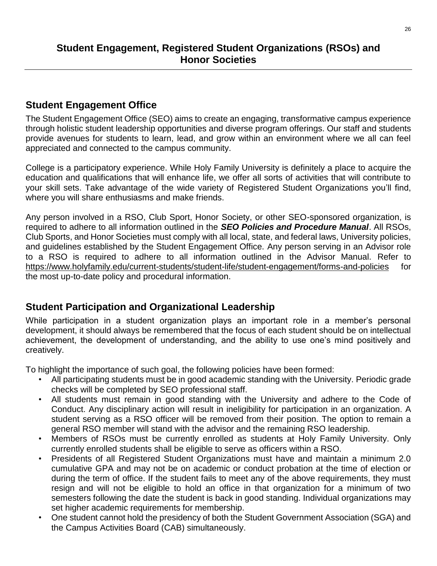# <span id="page-25-1"></span><span id="page-25-0"></span>**Student Engagement Office**

The Student Engagement Office (SEO) aims to create an engaging, transformative campus experience through holistic student leadership opportunities and diverse program offerings. Our staff and students provide avenues for students to learn, lead, and grow within an environment where we all can feel appreciated and connected to the campus community.

College is a participatory experience. While Holy Family University is definitely a place to acquire the education and qualifications that will enhance life, we offer all sorts of activities that will contribute to your skill sets. Take advantage of the wide variety of Registered Student Organizations you'll find, where you will share enthusiasms and make friends.

Any person involved in a RSO, Club Sport, Honor Society, or other SEO-sponsored organization, is required to adhere to all information outlined in the *SEO Policies and Procedure Manual*. All RSOs, Club Sports, and Honor Societies must comply with all local, state, and federal laws, University policies, and guidelines established by the Student Engagement Office. Any person serving in an Advisor role to a RSO is required to adhere to all information outlined in the Advisor Manual. Refer to <https://www.holyfamily.edu/current-students/student-life/student-engagement/forms-and-policies> for the most up-to-date policy and procedural information.

# <span id="page-25-2"></span>**Student Participation and Organizational Leadership**

While participation in a student organization plays an important role in a member's personal development, it should always be remembered that the focus of each student should be on intellectual achievement, the development of understanding, and the ability to use one's mind positively and creatively.

To highlight the importance of such goal, the following policies have been formed:

- All participating students must be in good academic standing with the University. Periodic grade checks will be completed by SEO professional staff.
- All students must remain in good standing with the University and adhere to the Code of Conduct. Any disciplinary action will result in ineligibility for participation in an organization. A student serving as a RSO officer will be removed from their position. The option to remain a general RSO member will stand with the advisor and the remaining RSO leadership.
- Members of RSOs must be currently enrolled as students at Holy Family University. Only currently enrolled students shall be eligible to serve as officers within a RSO.
- Presidents of all Registered Student Organizations must have and maintain a minimum 2.0 cumulative GPA and may not be on academic or conduct probation at the time of election or during the term of office. If the student fails to meet any of the above requirements, they must resign and will not be eligible to hold an office in that organization for a minimum of two semesters following the date the student is back in good standing. Individual organizations may set higher academic requirements for membership.
- One student cannot hold the presidency of both the Student Government Association (SGA) and the Campus Activities Board (CAB) simultaneously.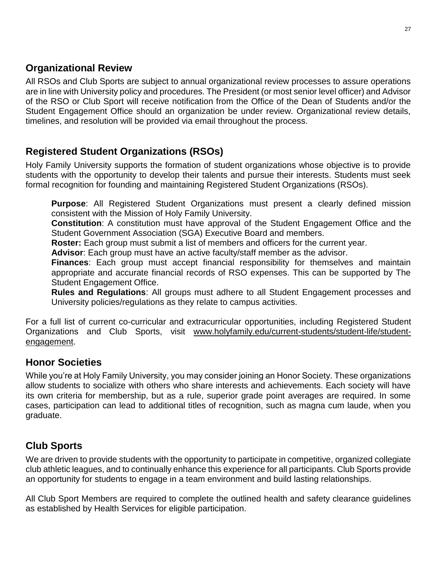# <span id="page-26-0"></span>**Organizational Review**

All RSOs and Club Sports are subject to annual organizational review processes to assure operations are in line with University policy and procedures. The President (or most senior level officer) and Advisor of the RSO or Club Sport will receive notification from the Office of the Dean of Students and/or the Student Engagement Office should an organization be under review. Organizational review details, timelines, and resolution will be provided via email throughout the process.

# <span id="page-26-1"></span>**Registered Student Organizations (RSOs)**

Holy Family University supports the formation of student organizations whose objective is to provide students with the opportunity to develop their talents and pursue their interests. Students must seek formal recognition for founding and maintaining Registered Student Organizations (RSOs).

**Purpose**: All Registered Student Organizations must present a clearly defined mission consistent with the Mission of Holy Family University.

**Constitution**: A constitution must have approval of the Student Engagement Office and the Student Government Association (SGA) Executive Board and members.

**Roster:** Each group must submit a list of members and officers for the current year.

**Advisor**: Each group must have an active faculty/staff member as the advisor.

**Finances**: Each group must accept financial responsibility for themselves and maintain appropriate and accurate financial records of RSO expenses. This can be supported by The Student Engagement Office.

**Rules and Regulations**: All groups must adhere to all Student Engagement processes and University policies/regulations as they relate to campus activities.

For a full list of current co-curricular and extracurricular opportunities, including Registered Student Organizations and Club Sports, visit [www.holyfamily.edu/current-students/student-life/student](http://www.holyfamily.edu/current-students/student-life/student-engagement)[engagement.](http://www.holyfamily.edu/current-students/student-life/student-engagement)

# <span id="page-26-2"></span>**Honor Societies**

While you're at Holy Family University, you may consider joining an Honor Society. These organizations allow students to socialize with others who share interests and achievements. Each society will have its own criteria for membership, but as a rule, superior grade point averages are required. In some cases, participation can lead to additional titles of recognition, such as magna cum laude, when you graduate.

# <span id="page-26-3"></span>**Club Sports**

We are driven to provide students with the opportunity to participate in competitive, organized collegiate club athletic leagues, and to continually enhance this experience for all participants. Club Sports provide an opportunity for students to engage in a team environment and build lasting relationships.

All Club Sport Members are required to complete the outlined health and safety clearance guidelines as established by Health Services for eligible participation.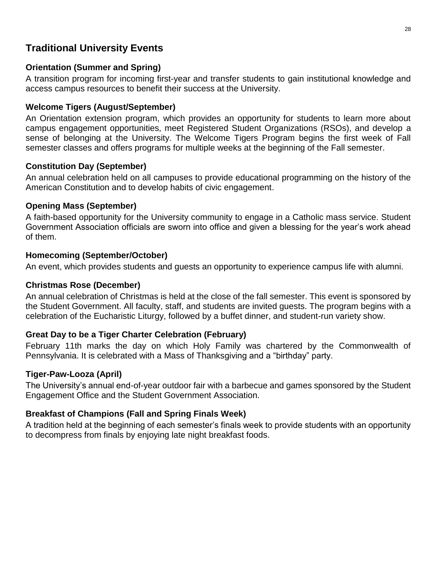# <span id="page-27-0"></span>**Traditional University Events**

### **Orientation (Summer and Spring)**

A transition program for incoming first-year and transfer students to gain institutional knowledge and access campus resources to benefit their success at the University.

### **Welcome Tigers (August/September)**

An Orientation extension program, which provides an opportunity for students to learn more about campus engagement opportunities, meet Registered Student Organizations (RSOs), and develop a sense of belonging at the University. The Welcome Tigers Program begins the first week of Fall semester classes and offers programs for multiple weeks at the beginning of the Fall semester.

### **Constitution Day (September)**

An annual celebration held on all campuses to provide educational programming on the history of the American Constitution and to develop habits of civic engagement.

### **Opening Mass (September)**

A faith-based opportunity for the University community to engage in a Catholic mass service. Student Government Association officials are sworn into office and given a blessing for the year's work ahead of them.

#### **Homecoming (September/October)**

An event, which provides students and guests an opportunity to experience campus life with alumni.

### **Christmas Rose (December)**

An annual celebration of Christmas is held at the close of the fall semester. This event is sponsored by the Student Government. All faculty, staff, and students are invited guests. The program begins with a celebration of the Eucharistic Liturgy, followed by a buffet dinner, and student-run variety show.

## **Great Day to be a Tiger Charter Celebration (February)**

February 11th marks the day on which Holy Family was chartered by the Commonwealth of Pennsylvania. It is celebrated with a Mass of Thanksgiving and a "birthday" party.

#### **Tiger-Paw-Looza (April)**

The University's annual end-of-year outdoor fair with a barbecue and games sponsored by the Student Engagement Office and the Student Government Association.

## **Breakfast of Champions (Fall and Spring Finals Week)**

A tradition held at the beginning of each semester's finals week to provide students with an opportunity to decompress from finals by enjoying late night breakfast foods.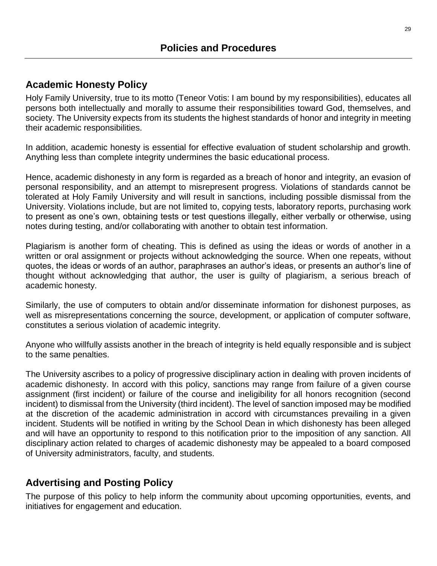# <span id="page-28-1"></span><span id="page-28-0"></span>**Academic Honesty Policy**

Holy Family University, true to its motto (Teneor Votis: I am bound by my responsibilities), educates all persons both intellectually and morally to assume their responsibilities toward God, themselves, and society. The University expects from its students the highest standards of honor and integrity in meeting their academic responsibilities.

In addition, academic honesty is essential for effective evaluation of student scholarship and growth. Anything less than complete integrity undermines the basic educational process.

Hence, academic dishonesty in any form is regarded as a breach of honor and integrity, an evasion of personal responsibility, and an attempt to misrepresent progress. Violations of standards cannot be tolerated at Holy Family University and will result in sanctions, including possible dismissal from the University. Violations include, but are not limited to, copying tests, laboratory reports, purchasing work to present as one's own, obtaining tests or test questions illegally, either verbally or otherwise, using notes during testing, and/or collaborating with another to obtain test information.

Plagiarism is another form of cheating. This is defined as using the ideas or words of another in a written or oral assignment or projects without acknowledging the source. When one repeats, without quotes, the ideas or words of an author, paraphrases an author's ideas, or presents an author's line of thought without acknowledging that author, the user is guilty of plagiarism, a serious breach of academic honesty.

Similarly, the use of computers to obtain and/or disseminate information for dishonest purposes, as well as misrepresentations concerning the source, development, or application of computer software, constitutes a serious violation of academic integrity.

Anyone who willfully assists another in the breach of integrity is held equally responsible and is subject to the same penalties.

The University ascribes to a policy of progressive disciplinary action in dealing with proven incidents of academic dishonesty. In accord with this policy, sanctions may range from failure of a given course assignment (first incident) or failure of the course and ineligibility for all honors recognition (second incident) to dismissal from the University (third incident). The level of sanction imposed may be modified at the discretion of the academic administration in accord with circumstances prevailing in a given incident. Students will be notified in writing by the School Dean in which dishonesty has been alleged and will have an opportunity to respond to this notification prior to the imposition of any sanction. All disciplinary action related to charges of academic dishonesty may be appealed to a board composed of University administrators, faculty, and students.

# <span id="page-28-2"></span>**Advertising and Posting Policy**

The purpose of this policy to help inform the community about upcoming opportunities, events, and initiatives for engagement and education.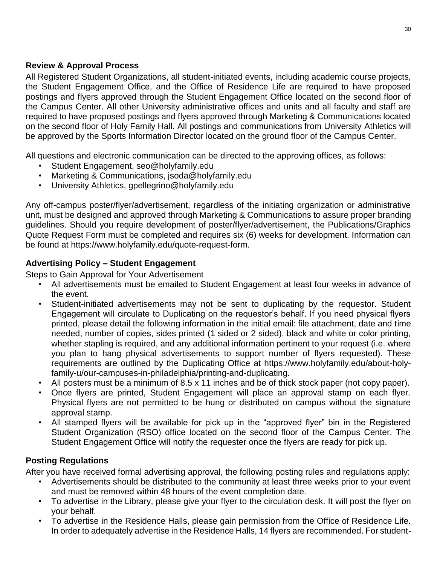#### **Review & Approval Process**

All Registered Student Organizations, all student-initiated events, including academic course projects, the Student Engagement Office, and the Office of Residence Life are required to have proposed postings and flyers approved through the Student Engagement Office located on the second floor of the Campus Center. All other University administrative offices and units and all faculty and staff are required to have proposed postings and flyers approved through Marketing & Communications located on the second floor of Holy Family Hall. All postings and communications from University Athletics will be approved by the Sports Information Director located on the ground floor of the Campus Center.

All questions and electronic communication can be directed to the approving offices, as follows:

- Student Engagement, seo@holyfamily.edu
- Marketing & Communications, jsoda@holyfamily.edu
- University Athletics, gpellegrino@holyfamily.edu

Any off-campus poster/flyer/advertisement, regardless of the initiating organization or administrative unit, must be designed and approved through Marketing & Communications to assure proper branding guidelines. Should you require development of poster/flyer/advertisement, the Publications/Graphics Quote Request Form must be completed and requires six (6) weeks for development. Information can be found at https://www.holyfamily.edu/quote-request-form.

### **Advertising Policy – Student Engagement**

Steps to Gain Approval for Your Advertisement

- All advertisements must be emailed to Student Engagement at least four weeks in advance of the event.
- Student-initiated advertisements may not be sent to duplicating by the requestor. Student Engagement will circulate to Duplicating on the requestor's behalf. If you need physical flyers printed, please detail the following information in the initial email: file attachment, date and time needed, number of copies, sides printed (1 sided or 2 sided), black and white or color printing, whether stapling is required, and any additional information pertinent to your request (i.e. where you plan to hang physical advertisements to support number of flyers requested). These requirements are outlined by the Duplicating Office at https://www.holyfamily.edu/about-holyfamily-u/our-campuses-in-philadelphia/printing-and-duplicating.
- All posters must be a minimum of 8.5 x 11 inches and be of thick stock paper (not copy paper).
- Once flyers are printed, Student Engagement will place an approval stamp on each flyer. Physical flyers are not permitted to be hung or distributed on campus without the signature approval stamp.
- All stamped flyers will be available for pick up in the "approved flyer" bin in the Registered Student Organization (RSO) office located on the second floor of the Campus Center. The Student Engagement Office will notify the requester once the flyers are ready for pick up.

#### **Posting Regulations**

After you have received formal advertising approval, the following posting rules and regulations apply:

- Advertisements should be distributed to the community at least three weeks prior to your event and must be removed within 48 hours of the event completion date.
- To advertise in the Library, please give your flyer to the circulation desk. It will post the flyer on your behalf.
- To advertise in the Residence Halls, please gain permission from the Office of Residence Life. In order to adequately advertise in the Residence Halls, 14 flyers are recommended. For student-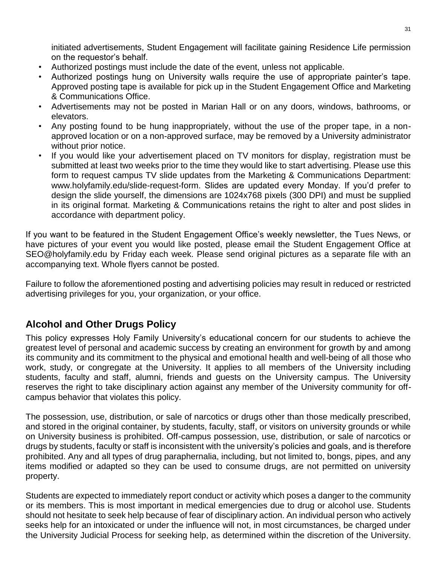initiated advertisements, Student Engagement will facilitate gaining Residence Life permission on the requestor's behalf.

- Authorized postings must include the date of the event, unless not applicable.
- Authorized postings hung on University walls require the use of appropriate painter's tape. Approved posting tape is available for pick up in the Student Engagement Office and Marketing & Communications Office.
- Advertisements may not be posted in Marian Hall or on any doors, windows, bathrooms, or elevators.
- Any posting found to be hung inappropriately, without the use of the proper tape, in a nonapproved location or on a non-approved surface, may be removed by a University administrator without prior notice.
- If you would like your advertisement placed on TV monitors for display, registration must be submitted at least two weeks prior to the time they would like to start advertising. Please use this form to request campus TV slide updates from the Marketing & Communications Department: [www.holyfamily.edu/slide-request-form.](https://www.holyfamily.edu/slide-request-form) Slides are updated every Monday. If you'd prefer to design the slide yourself, the dimensions are 1024x768 pixels (300 DPI) and must be supplied in its original format. Marketing & Communications retains the right to alter and post slides in accordance with department policy.

If you want to be featured in the Student Engagement Office's weekly newsletter, the Tues News, or have pictures of your event you would like posted, please email the Student Engagement Office at [SEO@holyfamily.edu](mailto:SEO@holyfamily.edu) by Friday each week. Please send original pictures as a separate file with an accompanying text. Whole flyers cannot be posted.

Failure to follow the aforementioned posting and advertising policies may result in reduced or restricted advertising privileges for you, your organization, or your office.

# <span id="page-30-0"></span>**Alcohol and Other Drugs Policy**

This policy expresses Holy Family University's educational concern for our students to achieve the greatest level of personal and academic success by creating an environment for growth by and among its community and its commitment to the physical and emotional health and well-being of all those who work, study, or congregate at the University. It applies to all members of the University including students, faculty and staff, alumni, friends and guests on the University campus. The University reserves the right to take disciplinary action against any member of the University community for offcampus behavior that violates this policy.

The possession, use, distribution, or sale of narcotics or drugs other than those medically prescribed, and stored in the original container, by students, faculty, staff, or visitors on university grounds or while on University business is prohibited. Off-campus possession, use, distribution, or sale of narcotics or drugs by students, faculty or staff is inconsistent with the university's policies and goals, and is therefore prohibited. Any and all types of drug paraphernalia, including, but not limited to, bongs, pipes, and any items modified or adapted so they can be used to consume drugs, are not permitted on university property.

Students are expected to immediately report conduct or activity which poses a danger to the community or its members. This is most important in medical emergencies due to drug or alcohol use. Students should not hesitate to seek help because of fear of disciplinary action. An individual person who actively seeks help for an intoxicated or under the influence will not, in most circumstances, be charged under the University Judicial Process for seeking help, as determined within the discretion of the University.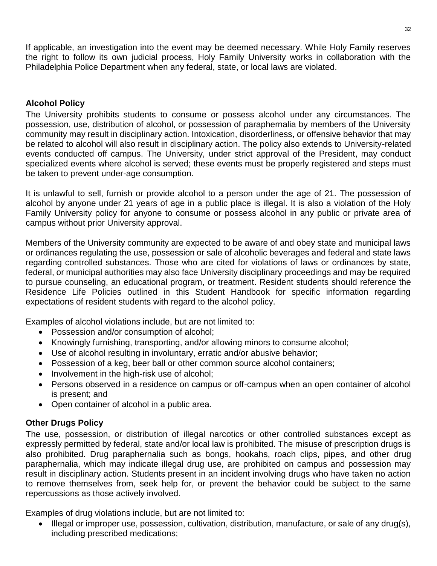If applicable, an investigation into the event may be deemed necessary. While Holy Family reserves the right to follow its own judicial process, Holy Family University works in collaboration with the Philadelphia Police Department when any federal, state, or local laws are violated.

#### **Alcohol Policy**

The University prohibits students to consume or possess alcohol under any circumstances. The possession, use, distribution of alcohol, or possession of paraphernalia by members of the University community may result in disciplinary action. Intoxication, disorderliness, or offensive behavior that may be related to alcohol will also result in disciplinary action. The policy also extends to University-related events conducted off campus. The University, under strict approval of the President, may conduct specialized events where alcohol is served; these events must be properly registered and steps must be taken to prevent under-age consumption.

It is unlawful to sell, furnish or provide alcohol to a person under the age of 21. The possession of alcohol by anyone under 21 years of age in a public place is illegal. It is also a violation of the Holy Family University policy for anyone to consume or possess alcohol in any public or private area of campus without prior University approval.

Members of the University community are expected to be aware of and obey state and municipal laws or ordinances regulating the use, possession or sale of alcoholic beverages and federal and state laws regarding controlled substances. Those who are cited for violations of laws or ordinances by state, federal, or municipal authorities may also face University disciplinary proceedings and may be required to pursue counseling, an educational program, or treatment. Resident students should reference the Residence Life Policies outlined in this Student Handbook for specific information regarding expectations of resident students with regard to the alcohol policy.

Examples of alcohol violations include, but are not limited to:

- Possession and/or consumption of alcohol;
- Knowingly furnishing, transporting, and/or allowing minors to consume alcohol;
- Use of alcohol resulting in involuntary, erratic and/or abusive behavior;
- Possession of a keg, beer ball or other common source alcohol containers;
- Involvement in the high-risk use of alcohol;
- Persons observed in a residence on campus or off-campus when an open container of alcohol is present; and
- Open container of alcohol in a public area.

#### **Other Drugs Policy**

The use, possession, or distribution of illegal narcotics or other controlled substances except as expressly permitted by federal, state and/or local law is prohibited. The misuse of prescription drugs is also prohibited. Drug paraphernalia such as bongs, hookahs, roach clips, pipes, and other drug paraphernalia, which may indicate illegal drug use, are prohibited on campus and possession may result in disciplinary action. Students present in an incident involving drugs who have taken no action to remove themselves from, seek help for, or prevent the behavior could be subject to the same repercussions as those actively involved.

Examples of drug violations include, but are not limited to:

• Illegal or improper use, possession, cultivation, distribution, manufacture, or sale of any drug(s), including prescribed medications;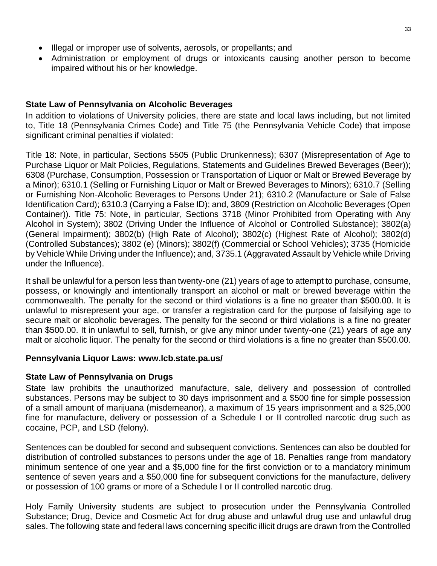- Illegal or improper use of solvents, aerosols, or propellants; and
- Administration or employment of drugs or intoxicants causing another person to become impaired without his or her knowledge.

#### **State Law of Pennsylvania on Alcoholic Beverages**

In addition to violations of University policies, there are state and local laws including, but not limited to, Title 18 (Pennsylvania Crimes Code) and Title 75 (the Pennsylvania Vehicle Code) that impose significant criminal penalties if violated:

Title 18: Note, in particular, Sections 5505 (Public Drunkenness); 6307 (Misrepresentation of Age to Purchase Liquor or Malt Policies, Regulations, Statements and Guidelines Brewed Beverages (Beer)); 6308 (Purchase, Consumption, Possession or Transportation of Liquor or Malt or Brewed Beverage by a Minor); 6310.1 (Selling or Furnishing Liquor or Malt or Brewed Beverages to Minors); 6310.7 (Selling or Furnishing Non-Alcoholic Beverages to Persons Under 21); 6310.2 (Manufacture or Sale of False Identification Card); 6310.3 (Carrying a False ID); and, 3809 (Restriction on Alcoholic Beverages (Open Container)). Title 75: Note, in particular, Sections 3718 (Minor Prohibited from Operating with Any Alcohol in System); 3802 (Driving Under the Influence of Alcohol or Controlled Substance); 3802(a) (General Impairment); 3802(b) (High Rate of Alcohol); 3802(c) (Highest Rate of Alcohol); 3802(d) (Controlled Substances); 3802 (e) (Minors); 3802(f) (Commercial or School Vehicles); 3735 (Homicide by Vehicle While Driving under the Influence); and, 3735.1 (Aggravated Assault by Vehicle while Driving under the Influence).

It shall be unlawful for a person less than twenty-one (21) years of age to attempt to purchase, consume, possess, or knowingly and intentionally transport an alcohol or malt or brewed beverage within the commonwealth. The penalty for the second or third violations is a fine no greater than \$500.00. It is unlawful to misrepresent your age, or transfer a registration card for the purpose of falsifying age to secure malt or alcoholic beverages. The penalty for the second or third violations is a fine no greater than \$500.00. It in unlawful to sell, furnish, or give any minor under twenty-one (21) years of age any malt or alcoholic liquor. The penalty for the second or third violations is a fine no greater than \$500.00.

#### **Pennsylvania Liquor Laws: [www.lcb.state.pa.us/](http://www.lcb.state.pa.us/)**

#### **State Law of Pennsylvania on Drugs**

State law prohibits the unauthorized manufacture, sale, delivery and possession of controlled substances. Persons may be subject to 30 days imprisonment and a \$500 fine for simple possession of a small amount of marijuana (misdemeanor), a maximum of 15 years imprisonment and a \$25,000 fine for manufacture, delivery or possession of a Schedule I or II controlled narcotic drug such as cocaine, PCP, and LSD (felony).

Sentences can be doubled for second and subsequent convictions. Sentences can also be doubled for distribution of controlled substances to persons under the age of 18. Penalties range from mandatory minimum sentence of one year and a \$5,000 fine for the first conviction or to a mandatory minimum sentence of seven years and a \$50,000 fine for subsequent convictions for the manufacture, delivery or possession of 100 grams or more of a Schedule I or II controlled narcotic drug.

Holy Family University students are subject to prosecution under the Pennsylvania Controlled Substance; Drug, Device and Cosmetic Act for drug abuse and unlawful drug use and unlawful drug sales. The following state and federal laws concerning specific illicit drugs are drawn from the Controlled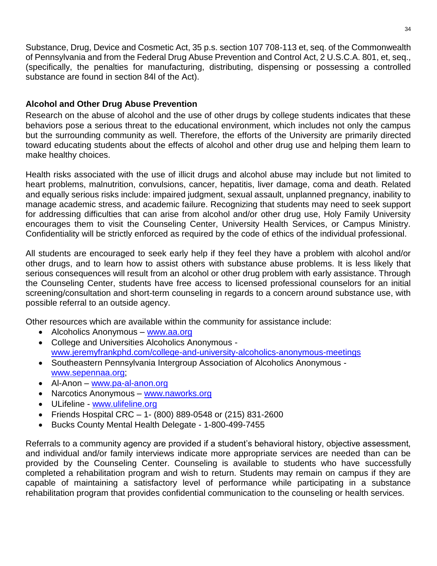Substance, Drug, Device and Cosmetic Act, 35 p.s. section 107 708-113 et, seq. of the Commonwealth of Pennsylvania and from the Federal Drug Abuse Prevention and Control Act, 2 U.S.C.A. 801, et, seq., (specifically, the penalties for manufacturing, distributing, dispensing or possessing a controlled substance are found in section 84l of the Act).

### **Alcohol and Other Drug Abuse Prevention**

Research on the abuse of alcohol and the use of other drugs by college students indicates that these behaviors pose a serious threat to the educational environment, which includes not only the campus but the surrounding community as well. Therefore, the efforts of the University are primarily directed toward educating students about the effects of alcohol and other drug use and helping them learn to make healthy choices.

Health risks associated with the use of illicit drugs and alcohol abuse may include but not limited to heart problems, malnutrition, convulsions, cancer, hepatitis, liver damage, coma and death. Related and equally serious risks include: impaired judgment, sexual assault, unplanned pregnancy, inability to manage academic stress, and academic failure. Recognizing that students may need to seek support for addressing difficulties that can arise from alcohol and/or other drug use, Holy Family University encourages them to visit the Counseling Center, University Health Services, or Campus Ministry. Confidentiality will be strictly enforced as required by the code of ethics of the individual professional.

All students are encouraged to seek early help if they feel they have a problem with alcohol and/or other drugs, and to learn how to assist others with substance abuse problems. It is less likely that serious consequences will result from an alcohol or other drug problem with early assistance. Through the Counseling Center, students have free access to licensed professional counselors for an initial screening/consultation and short-term counseling in regards to a concern around substance use, with possible referral to an outside agency.

Other resources which are available within the community for assistance include:

- Alcoholics Anonymous [www.aa.org](http://www.aa.org/)
- College and Universities Alcoholics Anonymous [www.jeremyfrankphd.com/college-and-university-alcoholics-anonymous-meetings](http://www.jeremyfrankphd.com/college-and-university-alcoholics-anonymous-meetings)
- Southeastern Pennsylvania Intergroup Association of Alcoholics Anonymous [www.sepennaa.org;](http://www.sepennaa.org/)
- Al-Anon [www.pa-al-anon.org](http://www.pa-al-anon.org/)
- Narcotics Anonymous [www.naworks.org](http://www.naworks.org/)
- ULifeline [www.ulifeline.org](http://www.ulifeline.org/)
- Friends Hospital CRC 1- (800) 889-0548 or (215) 831-2600
- Bucks County Mental Health Delegate 1-800-499-7455

Referrals to a community agency are provided if a student's behavioral history, objective assessment, and individual and/or family interviews indicate more appropriate services are needed than can be provided by the Counseling Center. Counseling is available to students who have successfully completed a rehabilitation program and wish to return. Students may remain on campus if they are capable of maintaining a satisfactory level of performance while participating in a substance rehabilitation program that provides confidential communication to the counseling or health services.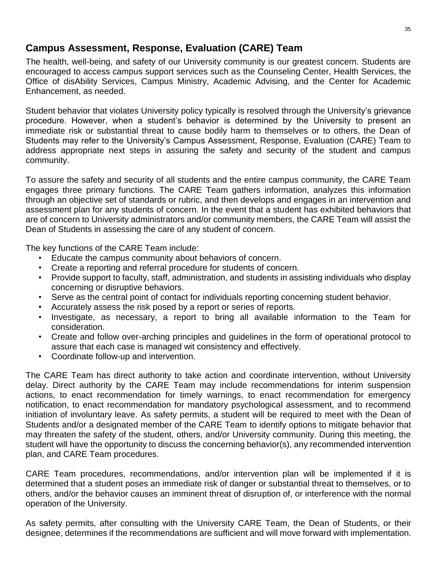# <span id="page-34-0"></span>**Campus Assessment, Response, Evaluation (CARE) Team**

The health, well-being, and safety of our University community is our greatest concern. Students are encouraged to access campus support services such as the Counseling Center, Health Services, the Office of disAbility Services, Campus Ministry, Academic Advising, and the Center for Academic Enhancement, as needed.

Student behavior that violates University policy typically is resolved through the University's grievance procedure. However, when a student's behavior is determined by the University to present an immediate risk or substantial threat to cause bodily harm to themselves or to others, the Dean of Students may refer to the University's Campus Assessment, Response, Evaluation (CARE) Team to address appropriate next steps in assuring the safety and security of the student and campus community.

To assure the safety and security of all students and the entire campus community, the CARE Team engages three primary functions. The CARE Team gathers information, analyzes this information through an objective set of standards or rubric, and then develops and engages in an intervention and assessment plan for any students of concern. In the event that a student has exhibited behaviors that are of concern to University administrators and/or community members, the CARE Team will assist the Dean of Students in assessing the care of any student of concern.

The key functions of the CARE Team include:

- Educate the campus community about behaviors of concern.
- Create a reporting and referral procedure for students of concern.
- Provide support to faculty, staff, administration, and students in assisting individuals who display concerning or disruptive behaviors.
- Serve as the central point of contact for individuals reporting concerning student behavior.
- Accurately assess the risk posed by a report or series of reports.
- Investigate, as necessary, a report to bring all available information to the Team for consideration.
- Create and follow over-arching principles and guidelines in the form of operational protocol to assure that each case is managed wit consistency and effectively.
- Coordinate follow-up and intervention.

The CARE Team has direct authority to take action and coordinate intervention, without University delay. Direct authority by the CARE Team may include recommendations for interim suspension actions, to enact recommendation for timely warnings, to enact recommendation for emergency notification, to enact recommendation for mandatory psychological assessment, and to recommend initiation of involuntary leave. As safety permits, a student will be required to meet with the Dean of Students and/or a designated member of the CARE Team to identify options to mitigate behavior that may threaten the safety of the student, others, and/or University community. During this meeting, the student will have the opportunity to discuss the concerning behavior(s), any recommended intervention plan, and CARE Team procedures.

CARE Team procedures, recommendations, and/or intervention plan will be implemented if it is determined that a student poses an immediate risk of danger or substantial threat to themselves, or to others, and/or the behavior causes an imminent threat of disruption of, or interference with the normal operation of the University.

As safety permits, after consulting with the University CARE Team, the Dean of Students, or their designee, determines if the recommendations are sufficient and will move forward with implementation.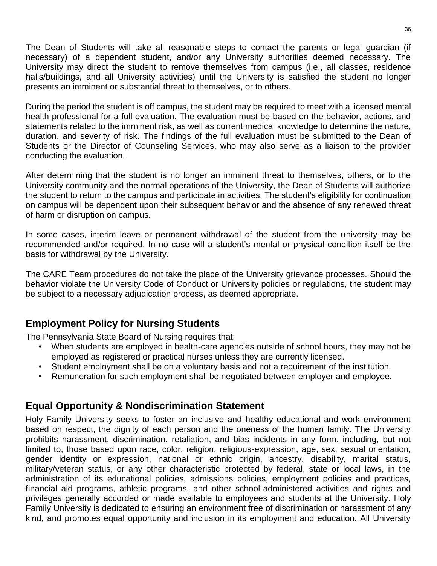The Dean of Students will take all reasonable steps to contact the parents or legal guardian (if necessary) of a dependent student, and/or any University authorities deemed necessary. The University may direct the student to remove themselves from campus (i.e., all classes, residence halls/buildings, and all University activities) until the University is satisfied the student no longer presents an imminent or substantial threat to themselves, or to others.

During the period the student is off campus, the student may be required to meet with a licensed mental health professional for a full evaluation. The evaluation must be based on the behavior, actions, and statements related to the imminent risk, as well as current medical knowledge to determine the nature, duration, and severity of risk. The findings of the full evaluation must be submitted to the Dean of Students or the Director of Counseling Services, who may also serve as a liaison to the provider conducting the evaluation.

After determining that the student is no longer an imminent threat to themselves, others, or to the University community and the normal operations of the University, the Dean of Students will authorize the student to return to the campus and participate in activities. The student's eligibility for continuation on campus will be dependent upon their subsequent behavior and the absence of any renewed threat of harm or disruption on campus.

In some cases, interim leave or permanent withdrawal of the student from the university may be recommended and/or required. In no case will a student's mental or physical condition itself be the basis for withdrawal by the University.

The CARE Team procedures do not take the place of the University grievance processes. Should the behavior violate the University Code of Conduct or University policies or regulations, the student may be subject to a necessary adjudication process, as deemed appropriate.

# <span id="page-35-0"></span>**Employment Policy for Nursing Students**

The Pennsylvania State Board of Nursing requires that:

- When students are employed in health-care agencies outside of school hours, they may not be employed as registered or practical nurses unless they are currently licensed.
- Student employment shall be on a voluntary basis and not a requirement of the institution.
- Remuneration for such employment shall be negotiated between employer and employee.

## <span id="page-35-1"></span>**Equal Opportunity & Nondiscrimination Statement**

Holy Family University seeks to foster an inclusive and healthy educational and work environment based on respect, the dignity of each person and the oneness of the human family. The University prohibits harassment, discrimination, retaliation, and bias incidents in any form, including, but not limited to, those based upon race, color, religion, religious-expression, age, sex, sexual orientation, gender identity or expression, national or ethnic origin, ancestry, disability, marital status, military/veteran status, or any other characteristic protected by federal, state or local laws, in the administration of its educational policies, admissions policies, employment policies and practices, financial aid programs, athletic programs, and other school-administered activities and rights and privileges generally accorded or made available to employees and students at the University. Holy Family University is dedicated to ensuring an environment free of discrimination or harassment of any kind, and promotes equal opportunity and inclusion in its employment and education. All University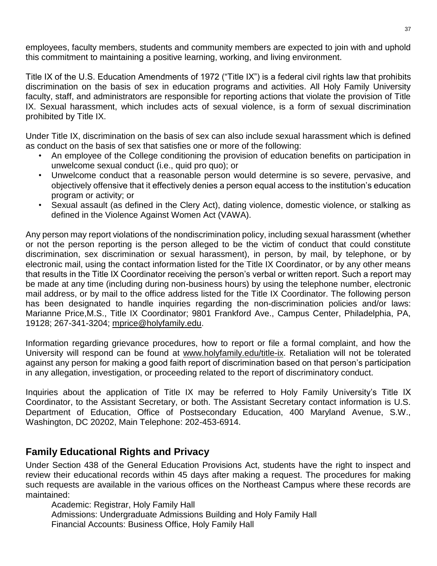employees, faculty members, students and community members are expected to join with and uphold this commitment to maintaining a positive learning, working, and living environment.

Title IX of the U.S. Education Amendments of 1972 ("Title IX") is a federal civil rights law that prohibits discrimination on the basis of sex in education programs and activities. All Holy Family University faculty, staff, and administrators are responsible for reporting actions that violate the provision of Title IX. Sexual harassment, which includes acts of sexual violence, is a form of sexual discrimination prohibited by Title IX.

Under Title IX, discrimination on the basis of sex can also include sexual harassment which is defined as conduct on the basis of sex that satisfies one or more of the following:

- An employee of the College conditioning the provision of education benefits on participation in unwelcome sexual conduct (i.e., quid pro quo); or
- Unwelcome conduct that a reasonable person would determine is so severe, pervasive, and objectively offensive that it effectively denies a person equal access to the institution's education program or activity; or
- Sexual assault (as defined in the Clery Act), dating violence, domestic violence, or stalking as defined in the Violence Against Women Act (VAWA).

Any person may report violations of the nondiscrimination policy, including sexual harassment (whether or not the person reporting is the person alleged to be the victim of conduct that could constitute discrimination, sex discrimination or sexual harassment), in person, by mail, by telephone, or by electronic mail, using the contact information listed for the Title IX Coordinator, or by any other means that results in the Title IX Coordinator receiving the person's verbal or written report. Such a report may be made at any time (including during non-business hours) by using the telephone number, electronic mail address, or by mail to the office address listed for the Title IX Coordinator. The following person has been designated to handle inquiries regarding the non-discrimination policies and/or laws: Marianne Price,M.S., Title IX Coordinator; 9801 Frankford Ave., Campus Center, Philadelphia, PA, 19128; 267-341-3204; [mprice@holyfamily.edu.](mailto:mprice@holyfamily.edu)

Information regarding grievance procedures, how to report or file a formal complaint, and how the University will respond can be found at [www.holyfamily.edu/title-ix.](http://www.holyfamily.edu/title-ix) Retaliation will not be tolerated against any person for making a good faith report of discrimination based on that person's participation in any allegation, investigation, or proceeding related to the report of discriminatory conduct.

Inquiries about the application of Title IX may be referred to Holy Family University's Title IX Coordinator, to the Assistant Secretary, or both. The Assistant Secretary contact information is U.S. Department of Education, Office of Postsecondary Education, 400 Maryland Avenue, S.W., Washington, DC 20202, Main Telephone: 202-453-6914.

# <span id="page-36-0"></span>**Family Educational Rights and Privacy**

Under Section 438 of the General Education Provisions Act, students have the right to inspect and review their educational records within 45 days after making a request. The procedures for making such requests are available in the various offices on the Northeast Campus where these records are maintained:

Academic: Registrar, Holy Family Hall Admissions: Undergraduate Admissions Building and Holy Family Hall Financial Accounts: Business Office, Holy Family Hall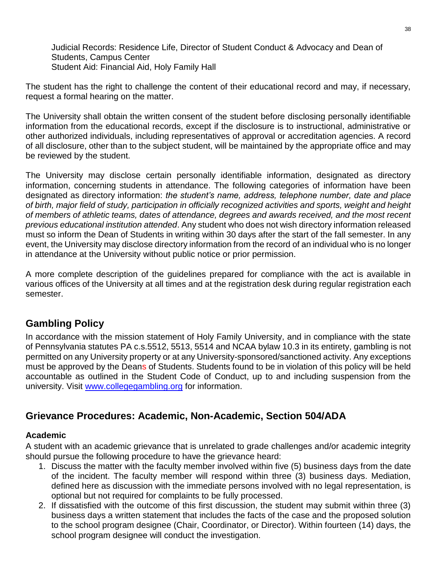Judicial Records: Residence Life, Director of Student Conduct & Advocacy and Dean of Students, Campus Center Student Aid: Financial Aid, Holy Family Hall

The student has the right to challenge the content of their educational record and may, if necessary, request a formal hearing on the matter.

The University shall obtain the written consent of the student before disclosing personally identifiable information from the educational records, except if the disclosure is to instructional, administrative or other authorized individuals, including representatives of approval or accreditation agencies. A record of all disclosure, other than to the subject student, will be maintained by the appropriate office and may be reviewed by the student.

The University may disclose certain personally identifiable information, designated as directory information, concerning students in attendance. The following categories of information have been designated as directory information: *the student's name, address, telephone number, date and place of birth, major field of study, participation in officially recognized activities and sports, weight and height of members of athletic teams, dates of attendance, degrees and awards received, and the most recent previous educational institution attended*. Any student who does not wish directory information released must so inform the Dean of Students in writing within 30 days after the start of the fall semester. In any event, the University may disclose directory information from the record of an individual who is no longer in attendance at the University without public notice or prior permission.

A more complete description of the guidelines prepared for compliance with the act is available in various offices of the University at all times and at the registration desk during regular registration each semester.

# <span id="page-37-0"></span>**Gambling Policy**

In accordance with the mission statement of Holy Family University, and in compliance with the state of Pennsylvania statutes PA c.s.5512, 5513, 5514 and NCAA bylaw 10.3 in its entirety, gambling is not permitted on any University property or at any University-sponsored/sanctioned activity. Any exceptions must be approved by the Deans of Students. Students found to be in violation of this policy will be held accountable as outlined in the Student Code of Conduct, up to and including suspension from the university. Visit [www.collegegambling.org](http://www.collegegambling.org/) for information.

# <span id="page-37-1"></span>**Grievance Procedures: Academic, Non-Academic, Section 504/ADA**

#### **Academic**

A student with an academic grievance that is unrelated to grade challenges and/or academic integrity should pursue the following procedure to have the grievance heard:

- 1. Discuss the matter with the faculty member involved within five (5) business days from the date of the incident. The faculty member will respond within three (3) business days. Mediation, defined here as discussion with the immediate persons involved with no legal representation, is optional but not required for complaints to be fully processed.
- 2. If dissatisfied with the outcome of this first discussion, the student may submit within three (3) business days a written statement that includes the facts of the case and the proposed solution to the school program designee (Chair, Coordinator, or Director). Within fourteen (14) days, the school program designee will conduct the investigation.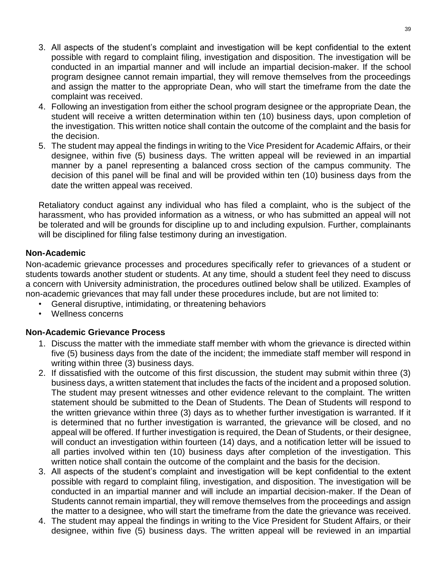- 3. All aspects of the student's complaint and investigation will be kept confidential to the extent possible with regard to complaint filing, investigation and disposition. The investigation will be conducted in an impartial manner and will include an impartial decision-maker. If the school program designee cannot remain impartial, they will remove themselves from the proceedings and assign the matter to the appropriate Dean, who will start the timeframe from the date the complaint was received.
- 4. Following an investigation from either the school program designee or the appropriate Dean, the student will receive a written determination within ten (10) business days, upon completion of the investigation. This written notice shall contain the outcome of the complaint and the basis for the decision.
- 5. The student may appeal the findings in writing to the Vice President for Academic Affairs, or their designee, within five (5) business days. The written appeal will be reviewed in an impartial manner by a panel representing a balanced cross section of the campus community. The decision of this panel will be final and will be provided within ten (10) business days from the date the written appeal was received.

Retaliatory conduct against any individual who has filed a complaint, who is the subject of the harassment, who has provided information as a witness, or who has submitted an appeal will not be tolerated and will be grounds for discipline up to and including expulsion. Further, complainants will be disciplined for filing false testimony during an investigation.

#### **Non-Academic**

Non-academic grievance processes and procedures specifically refer to grievances of a student or students towards another student or students. At any time, should a student feel they need to discuss a concern with University administration, the procedures outlined below shall be utilized. Examples of non-academic grievances that may fall under these procedures include, but are not limited to:

- General disruptive, intimidating, or threatening behaviors
- Wellness concerns

#### **Non-Academic Grievance Process**

- 1. Discuss the matter with the immediate staff member with whom the grievance is directed within five (5) business days from the date of the incident; the immediate staff member will respond in writing within three (3) business days.
- 2. If dissatisfied with the outcome of this first discussion, the student may submit within three (3) business days, a written statement that includes the facts of the incident and a proposed solution. The student may present witnesses and other evidence relevant to the complaint. The written statement should be submitted to the Dean of Students. The Dean of Students will respond to the written grievance within three (3) days as to whether further investigation is warranted. If it is determined that no further investigation is warranted, the grievance will be closed, and no appeal will be offered. If further investigation is required, the Dean of Students, or their designee, will conduct an investigation within fourteen (14) days, and a notification letter will be issued to all parties involved within ten (10) business days after completion of the investigation. This written notice shall contain the outcome of the complaint and the basis for the decision.
- 3. All aspects of the student's complaint and investigation will be kept confidential to the extent possible with regard to complaint filing, investigation, and disposition. The investigation will be conducted in an impartial manner and will include an impartial decision-maker. If the Dean of Students cannot remain impartial, they will remove themselves from the proceedings and assign the matter to a designee, who will start the timeframe from the date the grievance was received.
- 4. The student may appeal the findings in writing to the Vice President for Student Affairs, or their designee, within five (5) business days. The written appeal will be reviewed in an impartial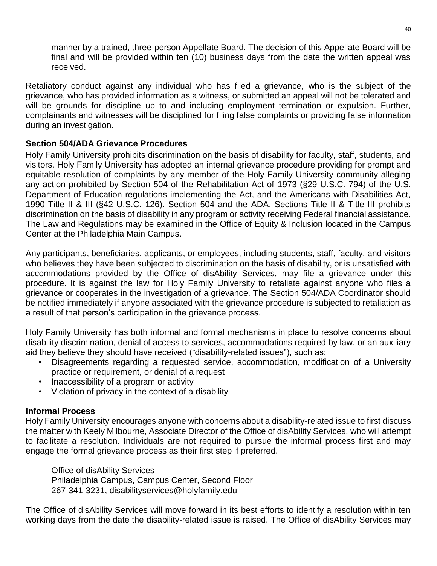manner by a trained, three-person Appellate Board. The decision of this Appellate Board will be final and will be provided within ten (10) business days from the date the written appeal was received.

Retaliatory conduct against any individual who has filed a grievance, who is the subject of the grievance, who has provided information as a witness, or submitted an appeal will not be tolerated and will be grounds for discipline up to and including employment termination or expulsion. Further, complainants and witnesses will be disciplined for filing false complaints or providing false information during an investigation.

#### **Section 504/ADA Grievance Procedures**

Holy Family University prohibits discrimination on the basis of disability for faculty, staff, students, and visitors. Holy Family University has adopted an internal grievance procedure providing for prompt and equitable resolution of complaints by any member of the Holy Family University community alleging any action prohibited by Section 504 of the Rehabilitation Act of 1973 (§29 U.S.C. 794) of the U.S. Department of Education regulations implementing the Act, and the Americans with Disabilities Act, 1990 Title II & III (§42 U.S.C. 126). Section 504 and the ADA, Sections Title II & Title III prohibits discrimination on the basis of disability in any program or activity receiving Federal financial assistance. The Law and Regulations may be examined in the Office of Equity & Inclusion located in the Campus Center at the Philadelphia Main Campus.

Any participants, beneficiaries, applicants, or employees, including students, staff, faculty, and visitors who believes they have been subjected to discrimination on the basis of disability, or is unsatisfied with accommodations provided by the Office of disAbility Services, may file a grievance under this procedure. It is against the law for Holy Family University to retaliate against anyone who files a grievance or cooperates in the investigation of a grievance. The Section 504/ADA Coordinator should be notified immediately if anyone associated with the grievance procedure is subjected to retaliation as a result of that person's participation in the grievance process.

Holy Family University has both informal and formal mechanisms in place to resolve concerns about disability discrimination, denial of access to services, accommodations required by law, or an auxiliary aid they believe they should have received ("disability-related issues"), such as:

- Disagreements regarding a requested service, accommodation, modification of a University practice or requirement, or denial of a request
- Inaccessibility of a program or activity
- Violation of privacy in the context of a disability

## **Informal Process**

Holy Family University encourages anyone with concerns about a disability-related issue to first discuss the matter with Keely Milbourne, Associate Director of the Office of disAbility Services, who will attempt to facilitate a resolution. Individuals are not required to pursue the informal process first and may engage the formal grievance process as their first step if preferred.

[Office of disAbility Services](https://www.holyfamily.edu/current-students/student-resources/wellness-services/disability-services) Philadelphia Campus, Campus Center, Second Floor 267-341-3231, disabilityservices@holyfamily.edu

The Office of disAbility Services will move forward in its best efforts to identify a resolution within ten working days from the date the disability-related issue is raised. The Office of disAbility Services may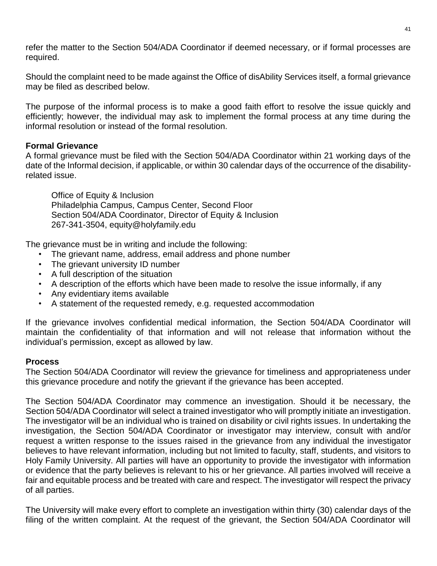refer the matter to the Section 504/ADA Coordinator if deemed necessary, or if formal processes are required.

Should the complaint need to be made against the Office of disAbility Services itself, a formal grievance may be filed as described below.

The purpose of the informal process is to make a good faith effort to resolve the issue quickly and efficiently; however, the individual may ask to implement the formal process at any time during the informal resolution or instead of the formal resolution.

#### **Formal Grievance**

A formal grievance must be filed with the Section 504/ADA Coordinator within 21 working days of the date of the Informal decision, if applicable, or within 30 calendar days of the occurrence of the disabilityrelated issue.

[Office of Equity & Inclusion](https://www.holyfamily.edu/current-students/student-life/title-ix) Philadelphia Campus, Campus Center, Second Floor Section 504/ADA Coordinator, Director of Equity & Inclusion 267-341-3504, equity@holyfamily.edu

The grievance must be in writing and include the following:

- The grievant name, address, email address and phone number
- The grievant university ID number
- A full description of the situation
- A description of the efforts which have been made to resolve the issue informally, if any
- Any evidentiary items available
- A statement of the requested remedy, e.g. requested accommodation

If the grievance involves confidential medical information, the Section 504/ADA Coordinator will maintain the confidentiality of that information and will not release that information without the individual's permission, except as allowed by law.

#### **Process**

The Section 504/ADA Coordinator will review the grievance for timeliness and appropriateness under this grievance procedure and notify the grievant if the grievance has been accepted.

The Section 504/ADA Coordinator may commence an investigation. Should it be necessary, the Section 504/ADA Coordinator will select a trained investigator who will promptly initiate an investigation. The investigator will be an individual who is trained on disability or civil rights issues. In undertaking the investigation, the Section 504/ADA Coordinator or investigator may interview, consult with and/or request a written response to the issues raised in the grievance from any individual the investigator believes to have relevant information, including but not limited to faculty, staff, students, and visitors to Holy Family University. All parties will have an opportunity to provide the investigator with information or evidence that the party believes is relevant to his or her grievance. All parties involved will receive a fair and equitable process and be treated with care and respect. The investigator will respect the privacy of all parties.

The University will make every effort to complete an investigation within thirty (30) calendar days of the filing of the written complaint. At the request of the grievant, the Section 504/ADA Coordinator will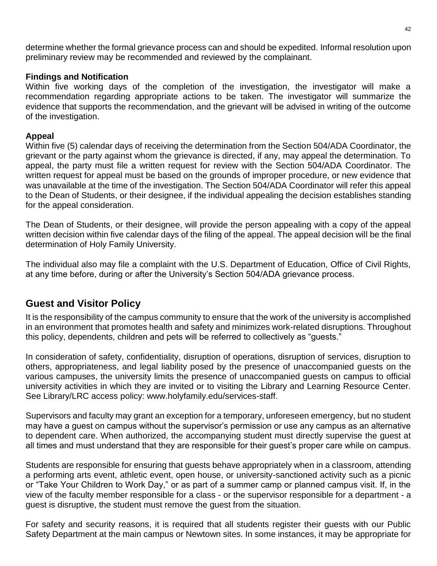determine whether the formal grievance process can and should be expedited. Informal resolution upon preliminary review may be recommended and reviewed by the complainant.

#### **Findings and Notification**

Within five working days of the completion of the investigation, the investigator will make a recommendation regarding appropriate actions to be taken. The investigator will summarize the evidence that supports the recommendation, and the grievant will be advised in writing of the outcome of the investigation.

#### **Appeal**

Within five (5) calendar days of receiving the determination from the Section 504/ADA Coordinator, the grievant or the party against whom the grievance is directed, if any, may appeal the determination. To appeal, the party must file a written request for review with the Section 504/ADA Coordinator. The written request for appeal must be based on the grounds of improper procedure, or new evidence that was unavailable at the time of the investigation. The Section 504/ADA Coordinator will refer this appeal to the Dean of Students, or their designee, if the individual appealing the decision establishes standing for the appeal consideration.

The Dean of Students, or their designee, will provide the person appealing with a copy of the appeal written decision within five calendar days of the filing of the appeal. The appeal decision will be the final determination of Holy Family University.

The individual also may file a complaint with the U.S. Department of Education, Office of Civil Rights, at any time before, during or after the University's Section 504/ADA grievance process.

## <span id="page-41-0"></span>**Guest and Visitor Policy**

It is the responsibility of the campus community to ensure that the work of the university is accomplished in an environment that promotes health and safety and minimizes work-related disruptions. Throughout this policy, dependents, children and pets will be referred to collectively as "guests."

In consideration of safety, confidentiality, disruption of operations, disruption of services, disruption to others, appropriateness, and legal liability posed by the presence of unaccompanied guests on the various campuses, the university limits the presence of unaccompanied guests on campus to official university activities in which they are invited or to visiting the Library and Learning Resource Center. See Library/LRC access policy: www.holyfamily.edu/services-staff.

Supervisors and faculty may grant an exception for a temporary, unforeseen emergency, but no student may have a guest on campus without the supervisor's permission or use any campus as an alternative to dependent care. When authorized, the accompanying student must directly supervise the guest at all times and must understand that they are responsible for their guest's proper care while on campus.

Students are responsible for ensuring that guests behave appropriately when in a classroom, attending a performing arts event, athletic event, open house, or university-sanctioned activity such as a picnic or "Take Your Children to Work Day," or as part of a summer camp or planned campus visit. If, in the view of the faculty member responsible for a class - or the supervisor responsible for a department - a guest is disruptive, the student must remove the guest from the situation.

For safety and security reasons, it is required that all students register their guests with our Public Safety Department at the main campus or Newtown sites. In some instances, it may be appropriate for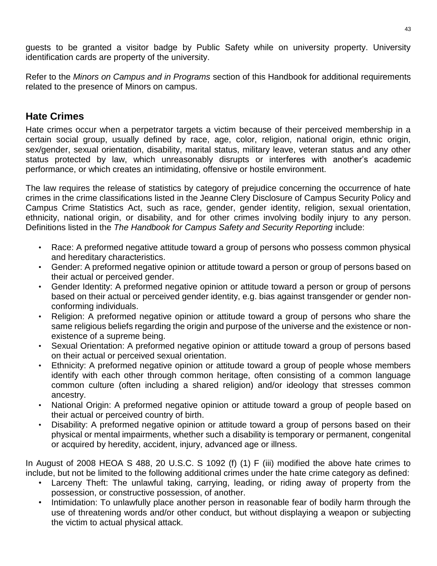guests to be granted a visitor badge by Public Safety while on university property. University identification cards are property of the university.

Refer to the *Minors on Campus and in Programs* section of this Handbook for additional requirements related to the presence of Minors on campus.

# <span id="page-42-0"></span>**Hate Crimes**

Hate crimes occur when a perpetrator targets a victim because of their perceived membership in a certain social group, usually defined by race, age, color, religion, national origin, ethnic origin, sex/gender, sexual orientation, disability, marital status, military leave, veteran status and any other status protected by law, which unreasonably disrupts or interferes with another's academic performance, or which creates an intimidating, offensive or hostile environment.

The law requires the release of statistics by category of prejudice concerning the occurrence of hate crimes in the crime classifications listed in the Jeanne Clery Disclosure of Campus Security Policy and Campus Crime Statistics Act, such as race, gender, gender identity, religion, sexual orientation, ethnicity, national origin, or disability, and for other crimes involving bodily injury to any person. Definitions listed in the *The Handbook for Campus Safety and Security Reporting* include:

- Race: A preformed negative attitude toward a group of persons who possess common physical and hereditary characteristics.
- Gender: A preformed negative opinion or attitude toward a person or group of persons based on their actual or perceived gender.
- Gender Identity: A preformed negative opinion or attitude toward a person or group of persons based on their actual or perceived gender identity, e.g. bias against transgender or gender nonconforming individuals.
- Religion: A preformed negative opinion or attitude toward a group of persons who share the same religious beliefs regarding the origin and purpose of the universe and the existence or nonexistence of a supreme being.
- Sexual Orientation: A preformed negative opinion or attitude toward a group of persons based on their actual or perceived sexual orientation.
- Ethnicity: A preformed negative opinion or attitude toward a group of people whose members identify with each other through common heritage, often consisting of a common language common culture (often including a shared religion) and/or ideology that stresses common ancestry.
- National Origin: A preformed negative opinion or attitude toward a group of people based on their actual or perceived country of birth.
- Disability: A preformed negative opinion or attitude toward a group of persons based on their physical or mental impairments, whether such a disability is temporary or permanent, congenital or acquired by heredity, accident, injury, advanced age or illness.

In August of 2008 HEOA S 488, 20 U.S.C. S 1092 (f) (1) F (iii) modified the above hate crimes to include, but not be limited to the following additional crimes under the hate crime category as defined:

- Larceny Theft: The unlawful taking, carrying, leading, or riding away of property from the possession, or constructive possession, of another.
- Intimidation: To unlawfully place another person in reasonable fear of bodily harm through the use of threatening words and/or other conduct, but without displaying a weapon or subjecting the victim to actual physical attack.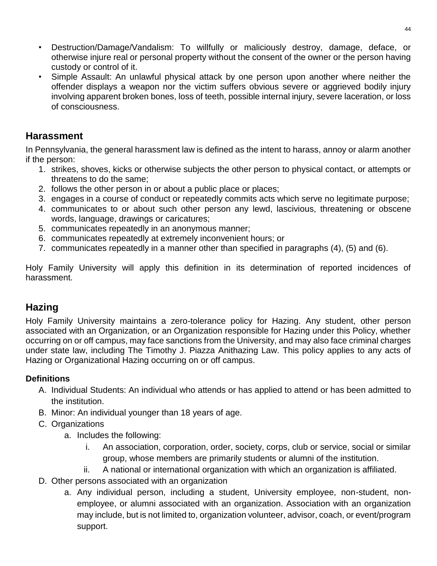- Destruction/Damage/Vandalism: To willfully or maliciously destroy, damage, deface, or otherwise injure real or personal property without the consent of the owner or the person having custody or control of it.
- Simple Assault: An unlawful physical attack by one person upon another where neither the offender displays a weapon nor the victim suffers obvious severe or aggrieved bodily injury involving apparent broken bones, loss of teeth, possible internal injury, severe laceration, or loss of consciousness.

# <span id="page-43-0"></span>**Harassment**

In Pennsylvania, the general harassment law is defined as the intent to harass, annoy or alarm another if the person:

- 1. strikes, shoves, kicks or otherwise subjects the other person to physical contact, or attempts or threatens to do the same;
- 2. follows the other person in or about a public place or places;
- 3. engages in a course of conduct or repeatedly commits acts which serve no legitimate purpose;
- 4. communicates to or about such other person any lewd, lascivious, threatening or obscene words, language, drawings or caricatures;
- 5. communicates repeatedly in an anonymous manner;
- 6. communicates repeatedly at extremely inconvenient hours; or
- 7. communicates repeatedly in a manner other than specified in paragraphs (4), (5) and (6).

Holy Family University will apply this definition in its determination of reported incidences of harassment.

# <span id="page-43-1"></span>**Hazing**

Holy Family University maintains a zero-tolerance policy for Hazing. Any student, other person associated with an Organization, or an Organization responsible for Hazing under this Policy, whether occurring on or off campus, may face sanctions from the University, and may also face criminal charges under state law, including The Timothy J. Piazza Anithazing Law. This policy applies to any acts of Hazing or Organizational Hazing occurring on or off campus.

## **Definitions**

- A. Individual Students: An individual who attends or has applied to attend or has been admitted to the institution.
- B. Minor: An individual younger than 18 years of age.
- C. Organizations
	- a. Includes the following:
		- i. An association, corporation, order, society, corps, club or service, social or similar group, whose members are primarily students or alumni of the institution.
		- ii. A national or international organization with which an organization is affiliated.
- D. Other persons associated with an organization
	- a. Any individual person, including a student, University employee, non-student, nonemployee, or alumni associated with an organization. Association with an organization may include, but is not limited to, organization volunteer, advisor, coach, or event/program support.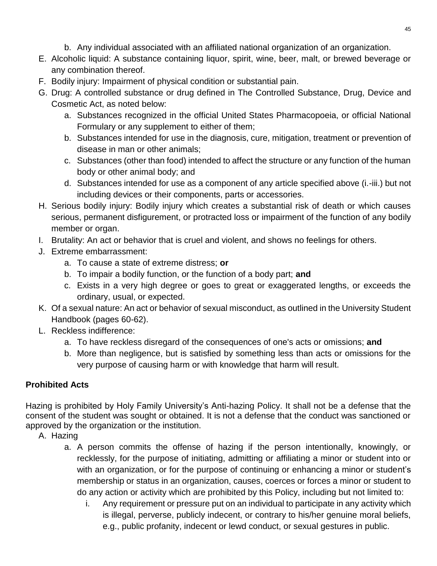- b. Any individual associated with an affiliated national organization of an organization.
- E. Alcoholic liquid: A substance containing liquor, spirit, wine, beer, malt, or brewed beverage or any combination thereof.
- F. Bodily injury: Impairment of physical condition or substantial pain.
- G. Drug: A controlled substance or drug defined in The Controlled Substance, Drug, Device and Cosmetic Act, as noted below:
	- a. Substances recognized in the official United States Pharmacopoeia, or official National Formulary or any supplement to either of them;
	- b. Substances intended for use in the diagnosis, cure, mitigation, treatment or prevention of disease in man or other animals;
	- c. Substances (other than food) intended to affect the structure or any function of the human body or other animal body; and
	- d. Substances intended for use as a component of any article specified above (i.-iii.) but not including devices or their components, parts or accessories.
- H. Serious bodily injury: Bodily injury which creates a substantial risk of death or which causes serious, permanent disfigurement, or protracted loss or impairment of the function of any bodily member or organ.
- I. Brutality: An act or behavior that is cruel and violent, and shows no feelings for others.
- J. Extreme embarrassment:
	- a. To cause a state of extreme distress; **or**
	- b. To impair a bodily function, or the function of a body part; **and**
	- c. Exists in a very high degree or goes to great or exaggerated lengths, or exceeds the ordinary, usual, or expected.
- K. Of a sexual nature: An act or behavior of sexual misconduct, as outlined in the University Student Handbook (pages 60-62).
- L. Reckless indifference:
	- a. To have reckless disregard of the consequences of one's acts or omissions; **and**
	- b. More than negligence, but is satisfied by something less than acts or omissions for the very purpose of causing harm or with knowledge that harm will result.

# **Prohibited Acts**

Hazing is prohibited by Holy Family University's Anti-hazing Policy. It shall not be a defense that the consent of the student was sought or obtained. It is not a defense that the conduct was sanctioned or approved by the organization or the institution.

- A. Hazing
	- a. A person commits the offense of hazing if the person intentionally, knowingly, or recklessly, for the purpose of initiating, admitting or affiliating a minor or student into or with an organization, or for the purpose of continuing or enhancing a minor or student's membership or status in an organization, causes, coerces or forces a minor or student to do any action or activity which are prohibited by this Policy, including but not limited to:
		- i. Any requirement or pressure put on an individual to participate in any activity which is illegal, perverse, publicly indecent, or contrary to his/her genuine moral beliefs, e.g., public profanity, indecent or lewd conduct, or sexual gestures in public.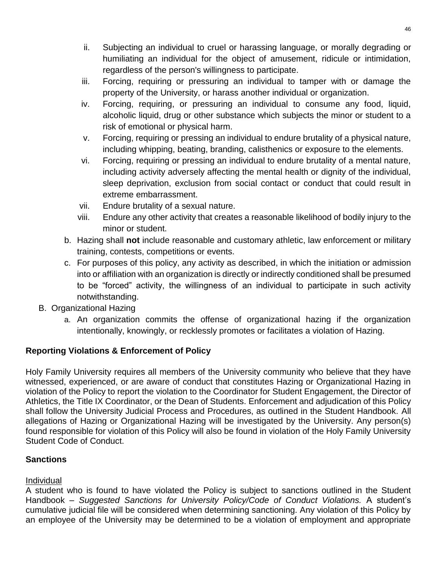- ii. Subjecting an individual to cruel or harassing language, or morally degrading or humiliating an individual for the object of amusement, ridicule or intimidation, regardless of the person's willingness to participate.
- iii. Forcing, requiring or pressuring an individual to tamper with or damage the property of the University, or harass another individual or organization.
- iv. Forcing, requiring, or pressuring an individual to consume any food, liquid, alcoholic liquid, drug or other substance which subjects the minor or student to a risk of emotional or physical harm.
- v. Forcing, requiring or pressing an individual to endure brutality of a physical nature, including whipping, beating, branding, calisthenics or exposure to the elements.
- vi. Forcing, requiring or pressing an individual to endure brutality of a mental nature, including activity adversely affecting the mental health or dignity of the individual, sleep deprivation, exclusion from social contact or conduct that could result in extreme embarrassment.
- vii. Endure brutality of a sexual nature.
- viii. Endure any other activity that creates a reasonable likelihood of bodily injury to the minor or student.
- b. Hazing shall **not** include reasonable and customary athletic, law enforcement or military training, contests, competitions or events.
- c. For purposes of this policy, any activity as described, in which the initiation or admission into or affiliation with an organization is directly or indirectly conditioned shall be presumed to be "forced" activity, the willingness of an individual to participate in such activity notwithstanding.
- B. Organizational Hazing
	- a. An organization commits the offense of organizational hazing if the organization intentionally, knowingly, or recklessly promotes or facilitates a violation of Hazing.

## **Reporting Violations & Enforcement of Policy**

Holy Family University requires all members of the University community who believe that they have witnessed, experienced, or are aware of conduct that constitutes Hazing or Organizational Hazing in violation of the Policy to report the violation to the Coordinator for Student Engagement, the Director of Athletics, the Title IX Coordinator, or the Dean of Students. Enforcement and adjudication of this Policy shall follow the University Judicial Process and Procedures, as outlined in the Student Handbook. All allegations of Hazing or Organizational Hazing will be investigated by the University. Any person(s) found responsible for violation of this Policy will also be found in violation of the Holy Family University Student Code of Conduct.

#### **Sanctions**

#### Individual

A student who is found to have violated the Policy is subject to sanctions outlined in the Student Handbook – *Suggested Sanctions for University Policy/Code of Conduct Violations.* A student's cumulative judicial file will be considered when determining sanctioning. Any violation of this Policy by an employee of the University may be determined to be a violation of employment and appropriate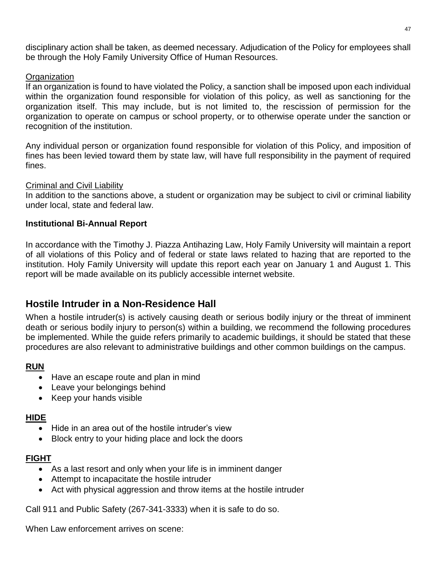disciplinary action shall be taken, as deemed necessary. Adjudication of the Policy for employees shall be through the Holy Family University Office of Human Resources.

#### **Organization**

If an organization is found to have violated the Policy, a sanction shall be imposed upon each individual within the organization found responsible for violation of this policy, as well as sanctioning for the organization itself. This may include, but is not limited to, the rescission of permission for the organization to operate on campus or school property, or to otherwise operate under the sanction or recognition of the institution.

Any individual person or organization found responsible for violation of this Policy, and imposition of fines has been levied toward them by state law, will have full responsibility in the payment of required fines.

#### Criminal and Civil Liability

In addition to the sanctions above, a student or organization may be subject to civil or criminal liability under local, state and federal law.

#### **Institutional Bi-Annual Report**

In accordance with the Timothy J. Piazza Antihazing Law, Holy Family University will maintain a report of all violations of this Policy and of federal or state laws related to hazing that are reported to the institution. Holy Family University will update this report each year on January 1 and August 1. This report will be made available on its publicly accessible internet website.

## <span id="page-46-0"></span>**Hostile Intruder in a Non-Residence Hall**

When a hostile intruder(s) is actively causing death or serious bodily injury or the threat of imminent death or serious bodily injury to person(s) within a building, we recommend the following procedures be implemented. While the guide refers primarily to academic buildings, it should be stated that these procedures are also relevant to administrative buildings and other common buildings on the campus.

#### **RUN**

- Have an escape route and plan in mind
- Leave your belongings behind
- Keep your hands visible

#### **HIDE**

- Hide in an area out of the hostile intruder's view
- Block entry to your hiding place and lock the doors

#### **FIGHT**

- As a last resort and only when your life is in imminent danger
- Attempt to incapacitate the hostile intruder
- Act with physical aggression and throw items at the hostile intruder

Call 911 and Public Safety (267-341-3333) when it is safe to do so.

When Law enforcement arrives on scene: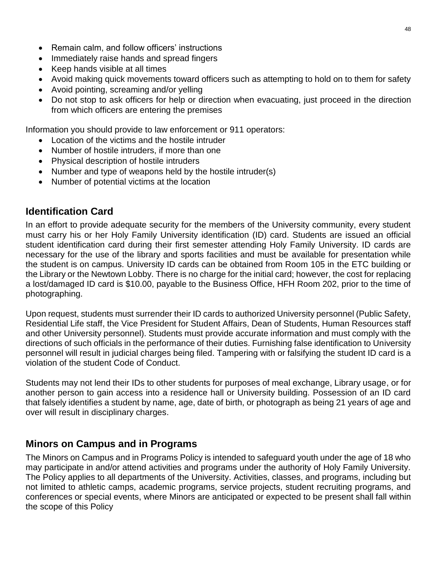- Remain calm, and follow officers' instructions
- Immediately raise hands and spread fingers
- Keep hands visible at all times
- Avoid making quick movements toward officers such as attempting to hold on to them for safety
- Avoid pointing, screaming and/or yelling
- Do not stop to ask officers for help or direction when evacuating, just proceed in the direction from which officers are entering the premises

Information you should provide to law enforcement or 911 operators:

- Location of the victims and the hostile intruder
- Number of hostile intruders, if more than one
- Physical description of hostile intruders
- Number and type of weapons held by the hostile intruder(s)
- Number of potential victims at the location

# <span id="page-47-0"></span>**Identification Card**

In an effort to provide adequate security for the members of the University community, every student must carry his or her Holy Family University identification (ID) card. Students are issued an official student identification card during their first semester attending Holy Family University. ID cards are necessary for the use of the library and sports facilities and must be available for presentation while the student is on campus. University ID cards can be obtained from Room 105 in the ETC building or the Library or the Newtown Lobby. There is no charge for the initial card; however, the cost for replacing a lost/damaged ID card is \$10.00, payable to the Business Office, HFH Room 202, prior to the time of photographing.

Upon request, students must surrender their ID cards to authorized University personnel (Public Safety, Residential Life staff, the Vice President for Student Affairs, Dean of Students, Human Resources staff and other University personnel). Students must provide accurate information and must comply with the directions of such officials in the performance of their duties. Furnishing false identification to University personnel will result in judicial charges being filed. Tampering with or falsifying the student ID card is a violation of the student Code of Conduct.

Students may not lend their IDs to other students for purposes of meal exchange, Library usage, or for another person to gain access into a residence hall or University building. Possession of an ID card that falsely identifies a student by name, age, date of birth, or photograph as being 21 years of age and over will result in disciplinary charges.

## <span id="page-47-1"></span>**Minors on Campus and in Programs**

The Minors on Campus and in Programs Policy is intended to safeguard youth under the age of 18 who may participate in and/or attend activities and programs under the authority of Holy Family University. The Policy applies to all departments of the University. Activities, classes, and programs, including but not limited to athletic camps, academic programs, service projects, student recruiting programs, and conferences or special events, where Minors are anticipated or expected to be present shall fall within the scope of this Policy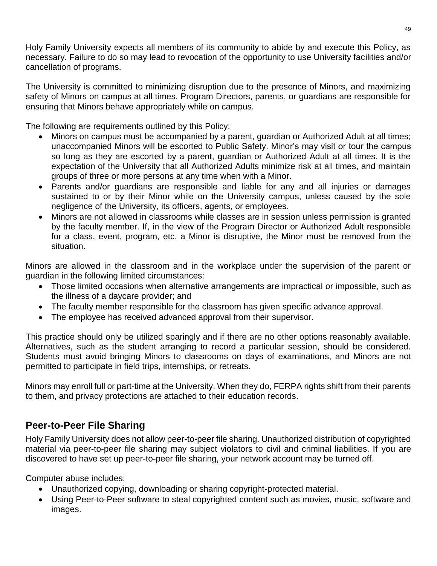Holy Family University expects all members of its community to abide by and execute this Policy, as necessary. Failure to do so may lead to revocation of the opportunity to use University facilities and/or cancellation of programs.

The University is committed to minimizing disruption due to the presence of Minors, and maximizing safety of Minors on campus at all times. Program Directors, parents, or guardians are responsible for ensuring that Minors behave appropriately while on campus.

The following are requirements outlined by this Policy:

- Minors on campus must be accompanied by a parent, guardian or Authorized Adult at all times; unaccompanied Minors will be escorted to Public Safety. Minor's may visit or tour the campus so long as they are escorted by a parent, guardian or Authorized Adult at all times. It is the expectation of the University that all Authorized Adults minimize risk at all times, and maintain groups of three or more persons at any time when with a Minor.
- Parents and/or guardians are responsible and liable for any and all injuries or damages sustained to or by their Minor while on the University campus, unless caused by the sole negligence of the University, its officers, agents, or employees.
- Minors are not allowed in classrooms while classes are in session unless permission is granted by the faculty member. If, in the view of the Program Director or Authorized Adult responsible for a class, event, program, etc. a Minor is disruptive, the Minor must be removed from the situation.

Minors are allowed in the classroom and in the workplace under the supervision of the parent or guardian in the following limited circumstances:

- Those limited occasions when alternative arrangements are impractical or impossible, such as the illness of a daycare provider; and
- The faculty member responsible for the classroom has given specific advance approval.
- The employee has received advanced approval from their supervisor.

This practice should only be utilized sparingly and if there are no other options reasonably available. Alternatives, such as the student arranging to record a particular session, should be considered. Students must avoid bringing Minors to classrooms on days of examinations, and Minors are not permitted to participate in field trips, internships, or retreats.

Minors may enroll full or part-time at the University. When they do, FERPA rights shift from their parents to them, and privacy protections are attached to their education records.

# <span id="page-48-0"></span>**Peer-to-Peer File Sharing**

Holy Family University does not allow peer-to-peer file sharing. Unauthorized distribution of copyrighted material via peer-to-peer file sharing may subject violators to civil and criminal liabilities. If you are discovered to have set up peer-to-peer file sharing, your network account may be turned off.

Computer abuse includes:

- Unauthorized copying, downloading or sharing copyright-protected material.
- Using Peer-to-Peer software to steal copyrighted content such as movies, music, software and images.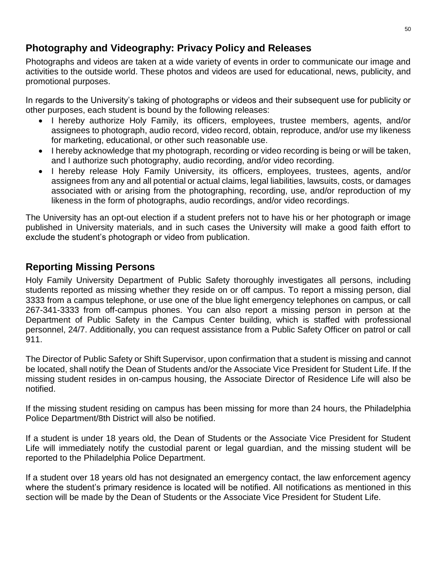# <span id="page-49-0"></span>**Photography and Videography: Privacy Policy and Releases**

Photographs and videos are taken at a wide variety of events in order to communicate our image and activities to the outside world. These photos and videos are used for educational, news, publicity, and promotional purposes.

In regards to the University's taking of photographs or videos and their subsequent use for publicity or other purposes, each student is bound by the following releases:

- I hereby authorize Holy Family, its officers, employees, trustee members, agents, and/or assignees to photograph, audio record, video record, obtain, reproduce, and/or use my likeness for marketing, educational, or other such reasonable use.
- I hereby acknowledge that my photograph, recording or video recording is being or will be taken, and I authorize such photography, audio recording, and/or video recording.
- I hereby release Holy Family University, its officers, employees, trustees, agents, and/or assignees from any and all potential or actual claims, legal liabilities, lawsuits, costs, or damages associated with or arising from the photographing, recording, use, and/or reproduction of my likeness in the form of photographs, audio recordings, and/or video recordings.

The University has an opt-out election if a student prefers not to have his or her photograph or image published in University materials, and in such cases the University will make a good faith effort to exclude the student's photograph or video from publication.

# <span id="page-49-1"></span>**Reporting Missing Persons**

Holy Family University Department of Public Safety thoroughly investigates all persons, including students reported as missing whether they reside on or off campus. To report a missing person, dial 3333 from a campus telephone, or use one of the blue light emergency telephones on campus, or call 267-341-3333 from off-campus phones. You can also report a missing person in person at the Department of Public Safety in the Campus Center building, which is staffed with professional personnel, 24/7. Additionally, you can request assistance from a Public Safety Officer on patrol or call 911.

The Director of Public Safety or Shift Supervisor, upon confirmation that a student is missing and cannot be located, shall notify the Dean of Students and/or the Associate Vice President for Student Life. If the missing student resides in on-campus housing, the Associate Director of Residence Life will also be notified.

If the missing student residing on campus has been missing for more than 24 hours, the Philadelphia Police Department/8th District will also be notified.

If a student is under 18 years old, the Dean of Students or the Associate Vice President for Student Life will immediately notify the custodial parent or legal guardian, and the missing student will be reported to the Philadelphia Police Department.

If a student over 18 years old has not designated an emergency contact, the law enforcement agency where the student's primary residence is located will be notified. All notifications as mentioned in this section will be made by the Dean of Students or the Associate Vice President for Student Life.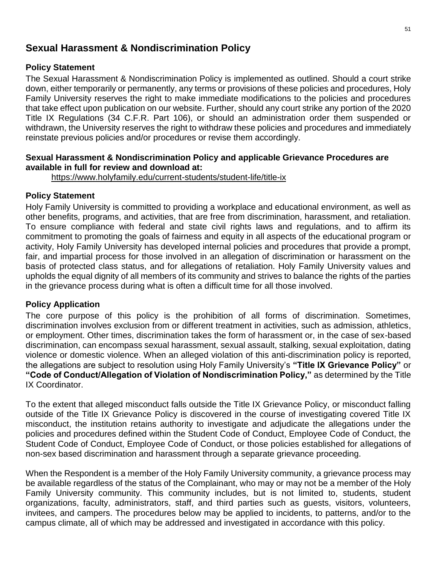## <span id="page-50-0"></span>**Sexual Harassment & Nondiscrimination Policy**

#### **Policy Statement**

The Sexual Harassment & Nondiscrimination Policy is implemented as outlined. Should a court strike down, either temporarily or permanently, any terms or provisions of these policies and procedures, Holy Family University reserves the right to make immediate modifications to the policies and procedures that take effect upon publication on our website. Further, should any court strike any portion of the 2020 Title IX Regulations (34 C.F.R. Part 106), or should an administration order them suspended or withdrawn, the University reserves the right to withdraw these policies and procedures and immediately reinstate previous policies and/or procedures or revise them accordingly.

#### **Sexual Harassment & Nondiscrimination Policy and applicable Grievance Procedures are available in full for review and download at:**

<https://www.holyfamily.edu/current-students/student-life/title-ix>

#### **Policy Statement**

Holy Family University is committed to providing a workplace and educational environment, as well as other benefits, programs, and activities, that are free from discrimination, harassment, and retaliation. To ensure compliance with federal and state civil rights laws and regulations, and to affirm its commitment to promoting the goals of fairness and equity in all aspects of the educational program or activity, Holy Family University has developed internal policies and procedures that provide a prompt, fair, and impartial process for those involved in an allegation of discrimination or harassment on the basis of protected class status, and for allegations of retaliation. Holy Family University values and upholds the equal dignity of all members of its community and strives to balance the rights of the parties in the grievance process during what is often a difficult time for all those involved.

#### **Policy Application**

The core purpose of this policy is the prohibition of all forms of discrimination. Sometimes, discrimination involves exclusion from or different treatment in activities, such as admission, athletics, or employment. Other times, discrimination takes the form of harassment or, in the case of sex-based discrimination, can encompass sexual harassment, sexual assault, stalking, sexual exploitation, dating violence or domestic violence. When an alleged violation of this anti-discrimination policy is reported, the allegations are subject to resolution using Holy Family University's **"Title IX Grievance Policy"** or **"Code of Conduct/Allegation of Violation of Nondiscrimination Policy,"** as determined by the Title IX Coordinator.

To the extent that alleged misconduct falls outside the Title IX Grievance Policy, or misconduct falling outside of the Title IX Grievance Policy is discovered in the course of investigating covered Title IX misconduct, the institution retains authority to investigate and adjudicate the allegations under the policies and procedures defined within the Student Code of Conduct, Employee Code of Conduct, the Student Code of Conduct, Employee Code of Conduct, or those policies established for allegations of non-sex based discrimination and harassment through a separate grievance proceeding.

When the Respondent is a member of the Holy Family University community, a grievance process may be available regardless of the status of the Complainant, who may or may not be a member of the Holy Family University community. This community includes, but is not limited to, students, student organizations, faculty, administrators, staff, and third parties such as guests, visitors, volunteers, invitees, and campers. The procedures below may be applied to incidents, to patterns, and/or to the campus climate, all of which may be addressed and investigated in accordance with this policy.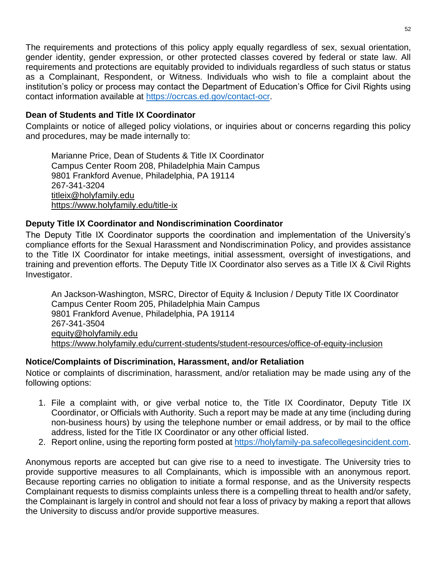The requirements and protections of this policy apply equally regardless of sex, sexual orientation, gender identity, gender expression, or other protected classes covered by federal or state law. All requirements and protections are equitably provided to individuals regardless of such status or status as a Complainant, Respondent, or Witness. Individuals who wish to file a complaint about the institution's policy or process may contact the Department of Education's Office for Civil Rights using contact information available at [https://ocrcas.ed.gov/contact-ocr.](https://ocrcas.ed.gov/contact-ocr)

#### **Dean of Students and Title IX Coordinator**

Complaints or notice of alleged policy violations, or inquiries about or concerns regarding this policy and procedures, may be made internally to:

Marianne Price, Dean of Students & Title IX Coordinator Campus Center Room 208, Philadelphia Main Campus 9801 Frankford Avenue, Philadelphia, PA 19114 267-341-3204 [titleix@holyfamily.edu](mailto:titleix@holyfamily.edu) <https://www.holyfamily.edu/title-ix>

#### **Deputy Title IX Coordinator and Nondiscrimination Coordinator**

The Deputy Title IX Coordinator supports the coordination and implementation of the University's compliance efforts for the Sexual Harassment and Nondiscrimination Policy, and provides assistance to the Title IX Coordinator for intake meetings, initial assessment, oversight of investigations, and training and prevention efforts. The Deputy Title IX Coordinator also serves as a Title IX & Civil Rights Investigator.

An Jackson-Washington, MSRC, Director of Equity & Inclusion / Deputy Title IX Coordinator Campus Center Room 205, Philadelphia Main Campus 9801 Frankford Avenue, Philadelphia, PA 19114 267-341-3504 [equity@holyfamily.edu](mailto:equity@holyfamily.edu) <https://www.holyfamily.edu/current-students/student-resources/office-of-equity-inclusion>

#### **Notice/Complaints of Discrimination, Harassment, and/or Retaliation**

Notice or complaints of discrimination, harassment, and/or retaliation may be made using any of the following options:

- 1. File a complaint with, or give verbal notice to, the Title IX Coordinator, Deputy Title IX Coordinator, or Officials with Authority. Such a report may be made at any time (including during non-business hours) by using the telephone number or email address, or by mail to the office address, listed for the Title IX Coordinator or any other official listed.
- 2. Report online, using the reporting form posted at [https://holyfamily-pa.safecollegesincident.com.](https://holyfamily-pa.safecollegesincident.com/)

Anonymous reports are accepted but can give rise to a need to investigate. The University tries to provide supportive measures to all Complainants, which is impossible with an anonymous report. Because reporting carries no obligation to initiate a formal response, and as the University respects Complainant requests to dismiss complaints unless there is a compelling threat to health and/or safety, the Complainant is largely in control and should not fear a loss of privacy by making a report that allows the University to discuss and/or provide supportive measures.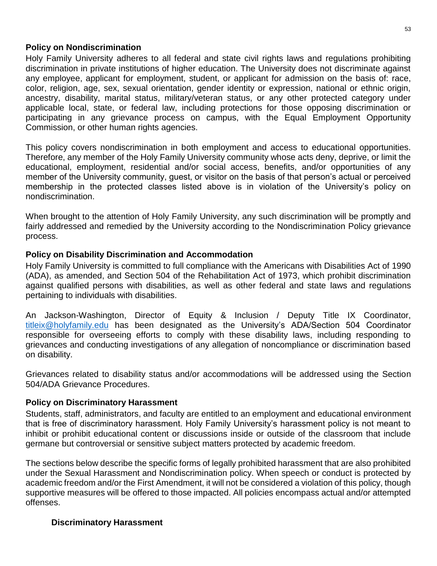#### **Policy on Nondiscrimination**

Holy Family University adheres to all federal and state civil rights laws and regulations prohibiting discrimination in private institutions of higher education. The University does not discriminate against any employee, applicant for employment, student, or applicant for admission on the basis of: race, color, religion, age, sex, sexual orientation, gender identity or expression, national or ethnic origin, ancestry, disability, marital status, military/veteran status, or any other protected category under applicable local, state, or federal law, including protections for those opposing discrimination or participating in any grievance process on campus, with the Equal Employment Opportunity Commission, or other human rights agencies.

This policy covers nondiscrimination in both employment and access to educational opportunities. Therefore, any member of the Holy Family University community whose acts deny, deprive, or limit the educational, employment, residential and/or social access, benefits, and/or opportunities of any member of the University community, guest, or visitor on the basis of that person's actual or perceived membership in the protected classes listed above is in violation of the University's policy on nondiscrimination.

When brought to the attention of Holy Family University, any such discrimination will be promptly and fairly addressed and remedied by the University according to the Nondiscrimination Policy grievance process.

#### **Policy on Disability Discrimination and Accommodation**

Holy Family University is committed to full compliance with the Americans with Disabilities Act of 1990 (ADA), as amended, and Section 504 of the Rehabilitation Act of 1973, which prohibit discrimination against qualified persons with disabilities, as well as other federal and state laws and regulations pertaining to individuals with disabilities.

An Jackson-Washington, Director of Equity & Inclusion / Deputy Title IX Coordinator, [titleix@holyfamily.edu](mailto:titleix@holyfamily.edu) has been designated as the University's ADA/Section 504 Coordinator responsible for overseeing efforts to comply with these disability laws, including responding to grievances and conducting investigations of any allegation of noncompliance or discrimination based on disability.

Grievances related to disability status and/or accommodations will be addressed using the Section 504/ADA Grievance Procedures.

#### **Policy on Discriminatory Harassment**

Students, staff, administrators, and faculty are entitled to an employment and educational environment that is free of discriminatory harassment. Holy Family University's harassment policy is not meant to inhibit or prohibit educational content or discussions inside or outside of the classroom that include germane but controversial or sensitive subject matters protected by academic freedom.

The sections below describe the specific forms of legally prohibited harassment that are also prohibited under the Sexual Harassment and Nondiscrimination policy. When speech or conduct is protected by academic freedom and/or the First Amendment, it will not be considered a violation of this policy, though supportive measures will be offered to those impacted. All policies encompass actual and/or attempted offenses.

#### **Discriminatory Harassment**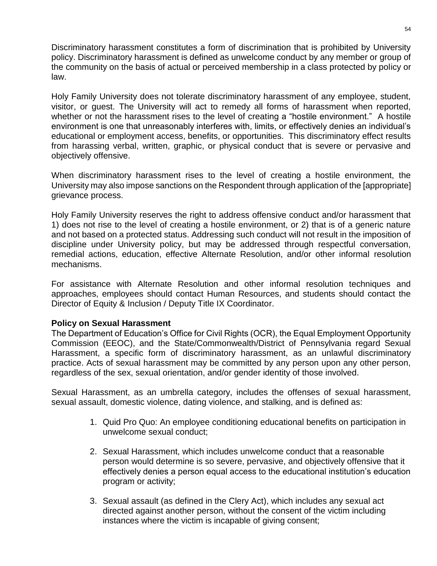Discriminatory harassment constitutes a form of discrimination that is prohibited by University policy. Discriminatory harassment is defined as unwelcome conduct by any member or group of the community on the basis of actual or perceived membership in a class protected by policy or law.

Holy Family University does not tolerate discriminatory harassment of any employee, student, visitor, or guest. The University will act to remedy all forms of harassment when reported, whether or not the harassment rises to the level of creating a "hostile environment." A hostile environment is one that unreasonably interferes with, limits, or effectively denies an individual's educational or employment access, benefits, or opportunities. This discriminatory effect results from harassing verbal, written, graphic, or physical conduct that is severe or pervasive and objectively offensive.

When discriminatory harassment rises to the level of creating a hostile environment, the University may also impose sanctions on the Respondent through application of the [appropriate] grievance process.

Holy Family University reserves the right to address offensive conduct and/or harassment that 1) does not rise to the level of creating a hostile environment, or 2) that is of a generic nature and not based on a protected status. Addressing such conduct will not result in the imposition of discipline under University policy, but may be addressed through respectful conversation, remedial actions, education, effective Alternate Resolution, and/or other informal resolution mechanisms.

For assistance with Alternate Resolution and other informal resolution techniques and approaches, employees should contact Human Resources, and students should contact the Director of Equity & Inclusion / Deputy Title IX Coordinator.

#### **Policy on Sexual Harassment**

The Department of Education's Office for Civil Rights (OCR), the Equal Employment Opportunity Commission (EEOC), and the State/Commonwealth/District of Pennsylvania regard Sexual Harassment, a specific form of discriminatory harassment, as an unlawful discriminatory practice. Acts of sexual harassment may be committed by any person upon any other person, regardless of the sex, sexual orientation, and/or gender identity of those involved.

Sexual Harassment, as an umbrella category, includes the offenses of sexual harassment, sexual assault, domestic violence, dating violence, and stalking, and is defined as:

- 1. Quid Pro Quo: An employee conditioning educational benefits on participation in unwelcome sexual conduct;
- 2. Sexual Harassment, which includes unwelcome conduct that a reasonable person would determine is so severe, pervasive, and objectively offensive that it effectively denies a person equal access to the educational institution's education program or activity;
- 3. Sexual assault (as defined in the Clery Act), which includes any sexual act directed against another person, without the consent of the victim including instances where the victim is incapable of giving consent;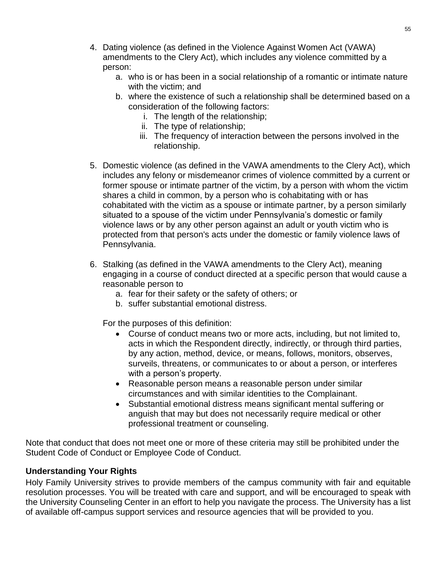- 4. Dating violence (as defined in the Violence Against Women Act (VAWA) amendments to the Clery Act), which includes any violence committed by a person:
	- a. who is or has been in a social relationship of a romantic or intimate nature with the victim; and
	- b. where the existence of such a relationship shall be determined based on a consideration of the following factors:
		- i. The length of the relationship;
		- ii. The type of relationship;
		- iii. The frequency of interaction between the persons involved in the relationship.
- 5. Domestic violence (as defined in the VAWA amendments to the Clery Act), which includes any felony or misdemeanor crimes of violence committed by a current or former spouse or intimate partner of the victim, by a person with whom the victim shares a child in common, by a person who is cohabitating with or has cohabitated with the victim as a spouse or intimate partner, by a person similarly situated to a spouse of the victim under Pennsylvania's domestic or family violence laws or by any other person against an adult or youth victim who is protected from that person's acts under the domestic or family violence laws of Pennsylvania.
- 6. Stalking (as defined in the VAWA amendments to the Clery Act), meaning engaging in a course of conduct directed at a specific person that would cause a reasonable person to
	- a. fear for their safety or the safety of others; or
	- b. suffer substantial emotional distress.

For the purposes of this definition:

- Course of conduct means two or more acts, including, but not limited to, acts in which the Respondent directly, indirectly, or through third parties, by any action, method, device, or means, follows, monitors, observes, surveils, threatens, or communicates to or about a person, or interferes with a person's property.
- Reasonable person means a reasonable person under similar circumstances and with similar identities to the Complainant.
- Substantial emotional distress means significant mental suffering or anguish that may but does not necessarily require medical or other professional treatment or counseling.

Note that conduct that does not meet one or more of these criteria may still be prohibited under the Student Code of Conduct or Employee Code of Conduct.

#### **Understanding Your Rights**

Holy Family University strives to provide members of the campus community with fair and equitable resolution processes. You will be treated with care and support, and will be encouraged to speak with the University Counseling Center in an effort to help you navigate the process. The University has a list of available off-campus support services and resource agencies that will be provided to you.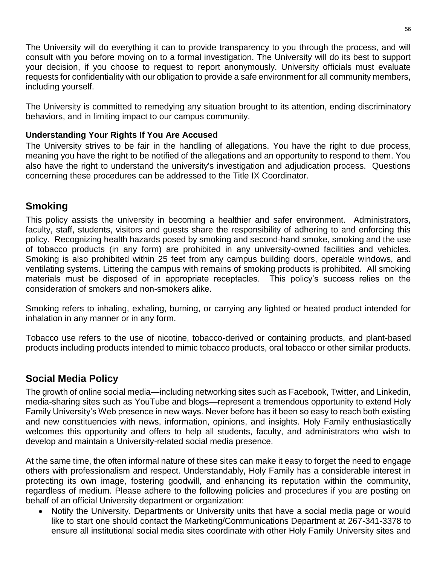The University will do everything it can to provide transparency to you through the process, and will consult with you before moving on to a formal investigation. The University will do its best to support your decision, if you choose to request to report anonymously. University officials must evaluate requests for confidentiality with our obligation to provide a safe environment for all community members, including yourself.

The University is committed to remedying any situation brought to its attention, ending discriminatory behaviors, and in limiting impact to our campus community.

#### **Understanding Your Rights If You Are Accused**

The University strives to be fair in the handling of allegations. You have the right to due process, meaning you have the right to be notified of the allegations and an opportunity to respond to them. You also have the right to understand the university's investigation and adjudication process. Questions concerning these procedures can be addressed to the Title IX Coordinator.

## <span id="page-55-0"></span>**Smoking**

This policy assists the university in becoming a healthier and safer environment. Administrators, faculty, staff, students, visitors and guests share the responsibility of adhering to and enforcing this policy. Recognizing health hazards posed by smoking and second-hand smoke, smoking and the use of tobacco products (in any form) are prohibited in any university-owned facilities and vehicles. Smoking is also prohibited within 25 feet from any campus building doors, operable windows, and ventilating systems. Littering the campus with remains of smoking products is prohibited. All smoking materials must be disposed of in appropriate receptacles. This policy's success relies on the consideration of smokers and non-smokers alike.

Smoking refers to inhaling, exhaling, burning, or carrying any lighted or heated product intended for inhalation in any manner or in any form.

Tobacco use refers to the use of nicotine, tobacco-derived or containing products, and plant-based products including products intended to mimic tobacco products, oral tobacco or other similar products.

# <span id="page-55-1"></span>**Social Media Policy**

The growth of online social media—including networking sites such as Facebook, Twitter, and Linkedin, media-sharing sites such as YouTube and blogs—represent a tremendous opportunity to extend Holy Family University's Web presence in new ways. Never before has it been so easy to reach both existing and new constituencies with news, information, opinions, and insights. Holy Family enthusiastically welcomes this opportunity and offers to help all students, faculty, and administrators who wish to develop and maintain a University-related social media presence.

At the same time, the often informal nature of these sites can make it easy to forget the need to engage others with professionalism and respect. Understandably, Holy Family has a considerable interest in protecting its own image, fostering goodwill, and enhancing its reputation within the community, regardless of medium. Please adhere to the following policies and procedures if you are posting on behalf of an official University department or organization:

• Notify the University. Departments or University units that have a social media page or would like to start one should contact the Marketing/Communications Department at 267-341-3378 to ensure all institutional social media sites coordinate with other Holy Family University sites and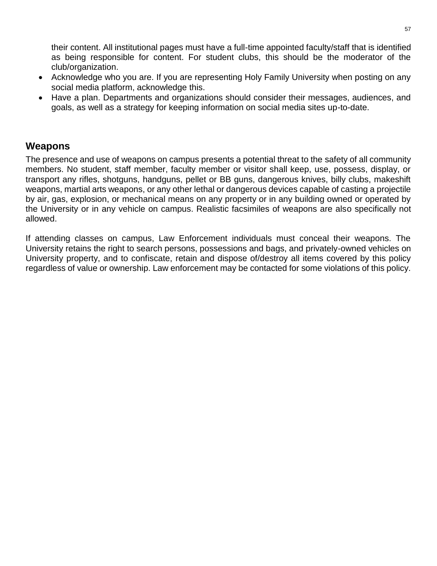their content. All institutional pages must have a full-time appointed faculty/staff that is identified as being responsible for content. For student clubs, this should be the moderator of the club/organization.

- Acknowledge who you are. If you are representing Holy Family University when posting on any social media platform, acknowledge this.
- Have a plan. Departments and organizations should consider their messages, audiences, and goals, as well as a strategy for keeping information on social media sites up-to-date.

### <span id="page-56-0"></span>**Weapons**

The presence and use of weapons on campus presents a potential threat to the safety of all community members. No student, staff member, faculty member or visitor shall keep, use, possess, display, or transport any rifles, shotguns, handguns, pellet or BB guns, dangerous knives, billy clubs, makeshift weapons, martial arts weapons, or any other lethal or dangerous devices capable of casting a projectile by air, gas, explosion, or mechanical means on any property or in any building owned or operated by the University or in any vehicle on campus. Realistic facsimiles of weapons are also specifically not allowed.

If attending classes on campus, Law Enforcement individuals must conceal their weapons. The University retains the right to search persons, possessions and bags, and privately-owned vehicles on University property, and to confiscate, retain and dispose of/destroy all items covered by this policy regardless of value or ownership. Law enforcement may be contacted for some violations of this policy.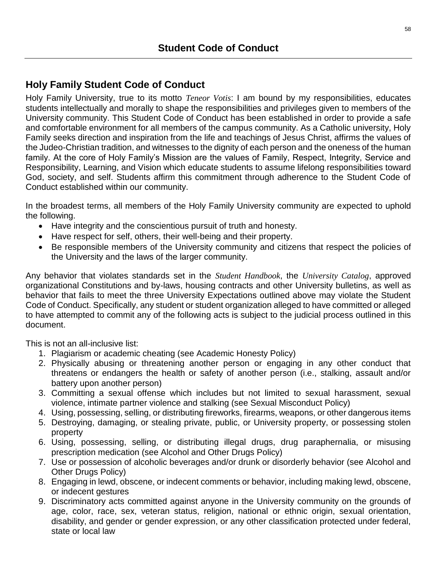# <span id="page-57-1"></span><span id="page-57-0"></span>**Holy Family Student Code of Conduct**

Holy Family University, true to its motto *Teneor Votis*: I am bound by my responsibilities, educates students intellectually and morally to shape the responsibilities and privileges given to members of the University community. This Student Code of Conduct has been established in order to provide a safe and comfortable environment for all members of the campus community. As a Catholic university, Holy Family seeks direction and inspiration from the life and teachings of Jesus Christ, affirms the values of the Judeo-Christian tradition, and witnesses to the dignity of each person and the oneness of the human family. At the core of Holy Family's Mission are the values of Family, Respect, Integrity, Service and Responsibility, Learning, and Vision which educate students to assume lifelong responsibilities toward God, society, and self. Students affirm this commitment through adherence to the Student Code of Conduct established within our community.

In the broadest terms, all members of the Holy Family University community are expected to uphold the following.

- Have integrity and the conscientious pursuit of truth and honesty.
- Have respect for self, others, their well-being and their property.
- Be responsible members of the University community and citizens that respect the policies of the University and the laws of the larger community.

Any behavior that violates standards set in the *Student Handbook*, the *University Catalog*, approved organizational Constitutions and by-laws, housing contracts and other University bulletins, as well as behavior that fails to meet the three University Expectations outlined above may violate the Student Code of Conduct. Specifically, any student or student organization alleged to have committed or alleged to have attempted to commit any of the following acts is subject to the judicial process outlined in this document.

This is not an all-inclusive list:

- 1. Plagiarism or academic cheating (see Academic Honesty Policy)
- 2. Physically abusing or threatening another person or engaging in any other conduct that threatens or endangers the health or safety of another person (i.e., stalking, assault and/or battery upon another person)
- 3. Committing a sexual offense which includes but not limited to sexual harassment, sexual violence, intimate partner violence and stalking (see Sexual Misconduct Policy)
- 4. Using, possessing, selling, or distributing fireworks, firearms, weapons, or other dangerous items
- 5. Destroying, damaging, or stealing private, public, or University property, or possessing stolen property
- 6. Using, possessing, selling, or distributing illegal drugs, drug paraphernalia, or misusing prescription medication (see Alcohol and Other Drugs Policy)
- 7. Use or possession of alcoholic beverages and/or drunk or disorderly behavior (see Alcohol and Other Drugs Policy)
- 8. Engaging in lewd, obscene, or indecent comments or behavior, including making lewd, obscene, or indecent gestures
- 9. Discriminatory acts committed against anyone in the University community on the grounds of age, color, race, sex, veteran status, religion, national or ethnic origin, sexual orientation, disability, and gender or gender expression, or any other classification protected under federal, state or local law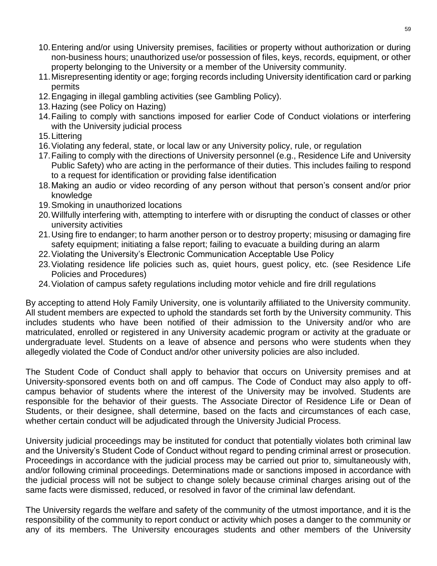- 10.Entering and/or using University premises, facilities or property without authorization or during non-business hours; unauthorized use/or possession of files, keys, records, equipment, or other property belonging to the University or a member of the University community.
- 11.Misrepresenting identity or age; forging records including University identification card or parking permits
- 12.Engaging in illegal gambling activities (see Gambling Policy).
- 13.Hazing (see Policy on Hazing)
- 14.Failing to comply with sanctions imposed for earlier Code of Conduct violations or interfering with the University judicial process
- 15.Littering
- 16.Violating any federal, state, or local law or any University policy, rule, or regulation
- 17.Failing to comply with the directions of University personnel (e.g., Residence Life and University Public Safety) who are acting in the performance of their duties. This includes failing to respond to a request for identification or providing false identification
- 18.Making an audio or video recording of any person without that person's consent and/or prior knowledge
- 19.Smoking in unauthorized locations
- 20.Willfully interfering with, attempting to interfere with or disrupting the conduct of classes or other university activities
- 21.Using fire to endanger; to harm another person or to destroy property; misusing or damaging fire safety equipment; initiating a false report; failing to evacuate a building during an alarm
- 22.Violating the University's Electronic Communication Acceptable Use Policy
- 23.Violating residence life policies such as, quiet hours, guest policy, etc. (see Residence Life Policies and Procedures)
- 24.Violation of campus safety regulations including motor vehicle and fire drill regulations

By accepting to attend Holy Family University, one is voluntarily affiliated to the University community. All student members are expected to uphold the standards set forth by the University community. This includes students who have been notified of their admission to the University and/or who are matriculated, enrolled or registered in any University academic program or activity at the graduate or undergraduate level. Students on a leave of absence and persons who were students when they allegedly violated the Code of Conduct and/or other university policies are also included.

The Student Code of Conduct shall apply to behavior that occurs on University premises and at University-sponsored events both on and off campus. The Code of Conduct may also apply to offcampus behavior of students where the interest of the University may be involved. Students are responsible for the behavior of their guests. The Associate Director of Residence Life or Dean of Students, or their designee, shall determine, based on the facts and circumstances of each case, whether certain conduct will be adjudicated through the University Judicial Process.

University judicial proceedings may be instituted for conduct that potentially violates both criminal law and the University's Student Code of Conduct without regard to pending criminal arrest or prosecution. Proceedings in accordance with the judicial process may be carried out prior to, simultaneously with, and/or following criminal proceedings. Determinations made or sanctions imposed in accordance with the judicial process will not be subject to change solely because criminal charges arising out of the same facts were dismissed, reduced, or resolved in favor of the criminal law defendant.

The University regards the welfare and safety of the community of the utmost importance, and it is the responsibility of the community to report conduct or activity which poses a danger to the community or any of its members. The University encourages students and other members of the University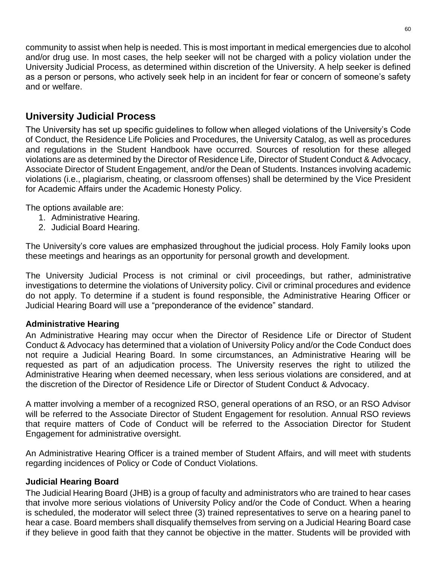community to assist when help is needed. This is most important in medical emergencies due to alcohol and/or drug use. In most cases, the help seeker will not be charged with a policy violation under the University Judicial Process, as determined within discretion of the University. A help seeker is defined as a person or persons, who actively seek help in an incident for fear or concern of someone's safety and or welfare.

## <span id="page-59-0"></span>**University Judicial Process**

The University has set up specific guidelines to follow when alleged violations of the University's Code of Conduct, the Residence Life Policies and Procedures, the University Catalog, as well as procedures and regulations in the Student Handbook have occurred. Sources of resolution for these alleged violations are as determined by the Director of Residence Life, Director of Student Conduct & Advocacy, Associate Director of Student Engagement, and/or the Dean of Students. Instances involving academic violations (i.e., plagiarism, cheating, or classroom offenses) shall be determined by the Vice President for Academic Affairs under the Academic Honesty Policy.

The options available are:

- 1. Administrative Hearing.
- 2. Judicial Board Hearing.

The University's core values are emphasized throughout the judicial process. Holy Family looks upon these meetings and hearings as an opportunity for personal growth and development.

The University Judicial Process is not criminal or civil proceedings, but rather, administrative investigations to determine the violations of University policy. Civil or criminal procedures and evidence do not apply. To determine if a student is found responsible, the Administrative Hearing Officer or Judicial Hearing Board will use a "preponderance of the evidence" standard.

#### **Administrative Hearing**

An Administrative Hearing may occur when the Director of Residence Life or Director of Student Conduct & Advocacy has determined that a violation of University Policy and/or the Code Conduct does not require a Judicial Hearing Board. In some circumstances, an Administrative Hearing will be requested as part of an adjudication process. The University reserves the right to utilized the Administrative Hearing when deemed necessary, when less serious violations are considered, and at the discretion of the Director of Residence Life or Director of Student Conduct & Advocacy.

A matter involving a member of a recognized RSO, general operations of an RSO, or an RSO Advisor will be referred to the Associate Director of Student Engagement for resolution. Annual RSO reviews that require matters of Code of Conduct will be referred to the Association Director for Student Engagement for administrative oversight.

An Administrative Hearing Officer is a trained member of Student Affairs, and will meet with students regarding incidences of Policy or Code of Conduct Violations.

#### **Judicial Hearing Board**

The Judicial Hearing Board (JHB) is a group of faculty and administrators who are trained to hear cases that involve more serious violations of University Policy and/or the Code of Conduct. When a hearing is scheduled, the moderator will select three (3) trained representatives to serve on a hearing panel to hear a case. Board members shall disqualify themselves from serving on a Judicial Hearing Board case if they believe in good faith that they cannot be objective in the matter. Students will be provided with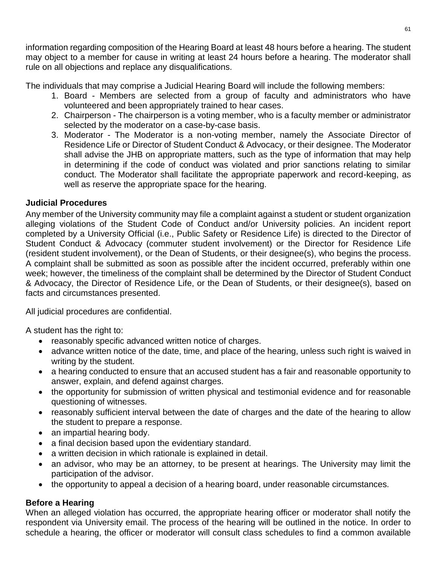information regarding composition of the Hearing Board at least 48 hours before a hearing. The student may object to a member for cause in writing at least 24 hours before a hearing. The moderator shall rule on all objections and replace any disqualifications.

The individuals that may comprise a Judicial Hearing Board will include the following members:

- 1. Board Members are selected from a group of faculty and administrators who have volunteered and been appropriately trained to hear cases.
- 2. Chairperson The chairperson is a voting member, who is a faculty member or administrator selected by the moderator on a case-by-case basis.
- 3. Moderator The Moderator is a non-voting member, namely the Associate Director of Residence Life or Director of Student Conduct & Advocacy, or their designee. The Moderator shall advise the JHB on appropriate matters, such as the type of information that may help in determining if the code of conduct was violated and prior sanctions relating to similar conduct. The Moderator shall facilitate the appropriate paperwork and record-keeping, as well as reserve the appropriate space for the hearing.

#### **Judicial Procedures**

Any member of the University community may file a complaint against a student or student organization alleging violations of the Student Code of Conduct and/or University policies. An incident report completed by a University Official (i.e., Public Safety or Residence Life) is directed to the Director of Student Conduct & Advocacy (commuter student involvement) or the Director for Residence Life (resident student involvement), or the Dean of Students, or their designee(s), who begins the process. A complaint shall be submitted as soon as possible after the incident occurred, preferably within one week; however, the timeliness of the complaint shall be determined by the Director of Student Conduct & Advocacy, the Director of Residence Life, or the Dean of Students, or their designee(s), based on facts and circumstances presented.

All judicial procedures are confidential.

A student has the right to:

- reasonably specific advanced written notice of charges.
- advance written notice of the date, time, and place of the hearing, unless such right is waived in writing by the student.
- a hearing conducted to ensure that an accused student has a fair and reasonable opportunity to answer, explain, and defend against charges.
- the opportunity for submission of written physical and testimonial evidence and for reasonable questioning of witnesses.
- reasonably sufficient interval between the date of charges and the date of the hearing to allow the student to prepare a response.
- an impartial hearing body.
- a final decision based upon the evidentiary standard.
- a written decision in which rationale is explained in detail.
- an advisor, who may be an attorney, to be present at hearings. The University may limit the participation of the advisor.
- the opportunity to appeal a decision of a hearing board, under reasonable circumstances.

#### **Before a Hearing**

When an alleged violation has occurred, the appropriate hearing officer or moderator shall notify the respondent via University email. The process of the hearing will be outlined in the notice. In order to schedule a hearing, the officer or moderator will consult class schedules to find a common available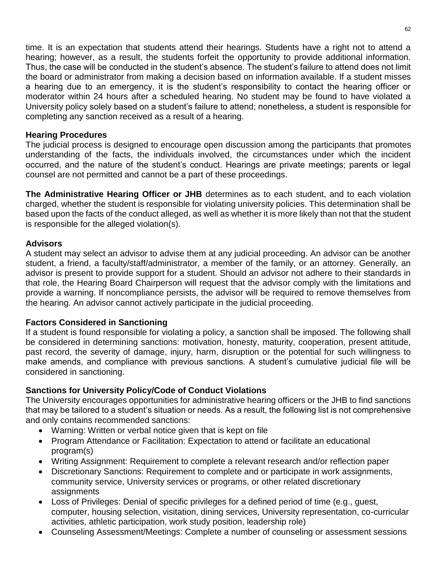time. It is an expectation that students attend their hearings. Students have a right not to attend a hearing; however, as a result, the students forfeit the opportunity to provide additional information. Thus, the case will be conducted in the student's absence. The student's failure to attend does not limit the board or administrator from making a decision based on information available. If a student misses a hearing due to an emergency, it is the student's responsibility to contact the hearing officer or moderator within 24 hours after a scheduled hearing. No student may be found to have violated a University policy solely based on a student's failure to attend; nonetheless, a student is responsible for completing any sanction received as a result of a hearing.

#### **Hearing Procedures**

The judicial process is designed to encourage open discussion among the participants that promotes understanding of the facts, the individuals involved, the circumstances under which the incident occurred, and the nature of the student's conduct. Hearings are private meetings; parents or legal counsel are not permitted and cannot be a part of these proceedings.

**The Administrative Hearing Officer or JHB** determines as to each student, and to each violation charged, whether the student is responsible for violating university policies. This determination shall be based upon the facts of the conduct alleged, as well as whether it is more likely than not that the student is responsible for the alleged violation(s).

#### **Advisors**

A student may select an advisor to advise them at any judicial proceeding. An advisor can be another student, a friend, a faculty/staff/administrator, a member of the family, or an attorney. Generally, an advisor is present to provide support for a student. Should an advisor not adhere to their standards in that role, the Hearing Board Chairperson will request that the advisor comply with the limitations and provide a warning. If noncompliance persists, the advisor will be required to remove themselves from the hearing. An advisor cannot actively participate in the judicial proceeding.

#### **Factors Considered in Sanctioning**

If a student is found responsible for violating a policy, a sanction shall be imposed. The following shall be considered in determining sanctions: motivation, honesty, maturity, cooperation, present attitude, past record, the severity of damage, injury, harm, disruption or the potential for such willingness to make amends, and compliance with previous sanctions. A student's cumulative judicial file will be considered in sanctioning.

#### **Sanctions for University Policy/Code of Conduct Violations**

The University encourages opportunities for administrative hearing officers or the JHB to find sanctions that may be tailored to a student's situation or needs. As a result, the following list is not comprehensive and only contains recommended sanctions:

- Warning: Written or verbal notice given that is kept on file
- Program Attendance or Facilitation: Expectation to attend or facilitate an educational program(s)
- Writing Assignment: Requirement to complete a relevant research and/or reflection paper
- Discretionary Sanctions: Requirement to complete and or participate in work assignments, community service, University services or programs, or other related discretionary assignments
- Loss of Privileges: Denial of specific privileges for a defined period of time (e.g., guest, computer, housing selection, visitation, dining services, University representation, co-curricular activities, athletic participation, work study position, leadership role)
- Counseling Assessment/Meetings: Complete a number of counseling or assessment sessions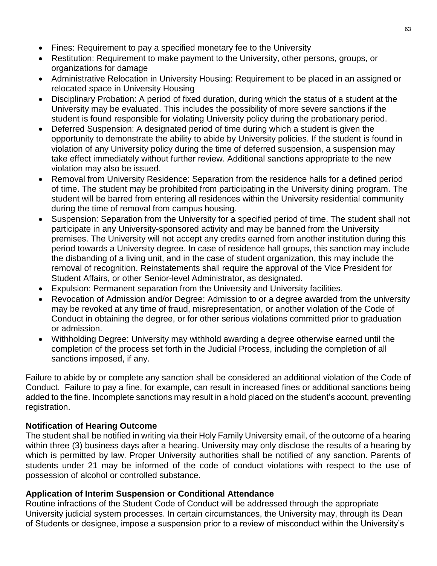- Fines: Requirement to pay a specified monetary fee to the University
- Restitution: Requirement to make payment to the University, other persons, groups, or organizations for damage
- Administrative Relocation in University Housing: Requirement to be placed in an assigned or relocated space in University Housing
- Disciplinary Probation: A period of fixed duration, during which the status of a student at the University may be evaluated. This includes the possibility of more severe sanctions if the student is found responsible for violating University policy during the probationary period.
- Deferred Suspension: A designated period of time during which a student is given the opportunity to demonstrate the ability to abide by University policies. If the student is found in violation of any University policy during the time of deferred suspension, a suspension may take effect immediately without further review. Additional sanctions appropriate to the new violation may also be issued.
- Removal from University Residence: Separation from the residence halls for a defined period of time. The student may be prohibited from participating in the University dining program. The student will be barred from entering all residences within the University residential community during the time of removal from campus housing.
- Suspension: Separation from the University for a specified period of time. The student shall not participate in any University-sponsored activity and may be banned from the University premises. The University will not accept any credits earned from another institution during this period towards a University degree. In case of residence hall groups, this sanction may include the disbanding of a living unit, and in the case of student organization, this may include the removal of recognition. Reinstatements shall require the approval of the Vice President for Student Affairs, or other Senior-level Administrator, as designated.
- Expulsion: Permanent separation from the University and University facilities.
- Revocation of Admission and/or Degree: Admission to or a degree awarded from the university may be revoked at any time of fraud, misrepresentation, or another violation of the Code of Conduct in obtaining the degree, or for other serious violations committed prior to graduation or admission.
- Withholding Degree: University may withhold awarding a degree otherwise earned until the completion of the process set forth in the Judicial Process, including the completion of all sanctions imposed, if any.

Failure to abide by or complete any sanction shall be considered an additional violation of the Code of Conduct. Failure to pay a fine, for example, can result in increased fines or additional sanctions being added to the fine. Incomplete sanctions may result in a hold placed on the student's account, preventing registration.

#### **Notification of Hearing Outcome**

The student shall be notified in writing via their Holy Family University email, of the outcome of a hearing within three (3) business days after a hearing. University may only disclose the results of a hearing by which is permitted by law. Proper University authorities shall be notified of any sanction. Parents of students under 21 may be informed of the code of conduct violations with respect to the use of possession of alcohol or controlled substance.

#### **Application of Interim Suspension or Conditional Attendance**

Routine infractions of the Student Code of Conduct will be addressed through the appropriate University judicial system processes. In certain circumstances, the University may, through its Dean of Students or designee, impose a suspension prior to a review of misconduct within the University's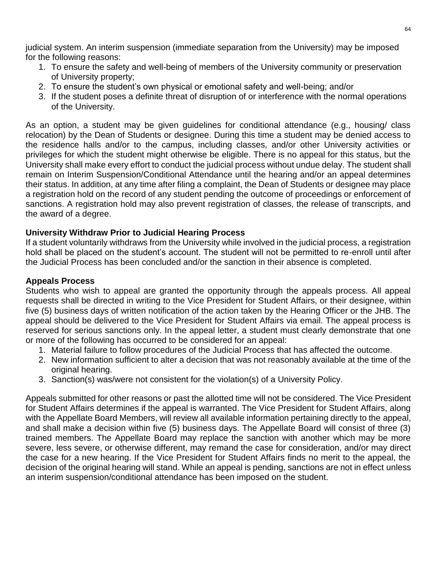judicial system. An interim suspension (immediate separation from the University) may be imposed for the following reasons:

- 1. To ensure the safety and well-being of members of the University community or preservation of University property;
- 2. To ensure the student's own physical or emotional safety and well-being; and/or
- 3. If the student poses a definite threat of disruption of or interference with the normal operations of the University.

As an option, a student may be given guidelines for conditional attendance (e.g., housing/ class relocation) by the Dean of Students or designee. During this time a student may be denied access to the residence halls and/or to the campus, including classes, and/or other University activities or privileges for which the student might otherwise be eligible. There is no appeal for this status, but the University shall make every effort to conduct the judicial process without undue delay. The student shall remain on Interim Suspension/Conditional Attendance until the hearing and/or an appeal determines their status. In addition, at any time after filing a complaint, the Dean of Students or designee may place a registration hold on the record of any student pending the outcome of proceedings or enforcement of sanctions. A registration hold may also prevent registration of classes, the release of transcripts, and the award of a degree.

#### **University Withdraw Prior to Judicial Hearing Process**

If a student voluntarily withdraws from the University while involved in the judicial process, a registration hold shall be placed on the student's account. The student will not be permitted to re-enroll until after the Judicial Process has been concluded and/or the sanction in their absence is completed.

#### **Appeals Process**

Students who wish to appeal are granted the opportunity through the appeals process. All appeal requests shall be directed in writing to the Vice President for Student Affairs, or their designee, within five (5) business days of written notification of the action taken by the Hearing Officer or the JHB. The appeal should be delivered to the Vice President for Student Affairs via email. The appeal process is reserved for serious sanctions only. In the appeal letter, a student must clearly demonstrate that one or more of the following has occurred to be considered for an appeal:

- 1. Material failure to follow procedures of the Judicial Process that has affected the outcome.
- 2. New information sufficient to alter a decision that was not reasonably available at the time of the original hearing.
- 3. Sanction(s) was/were not consistent for the violation(s) of a University Policy.

Appeals submitted for other reasons or past the allotted time will not be considered. The Vice President for Student Affairs determines if the appeal is warranted. The Vice President for Student Affairs, along with the Appellate Board Members, will review all available information pertaining directly to the appeal, and shall make a decision within five (5) business days. The Appellate Board will consist of three (3) trained members. The Appellate Board may replace the sanction with another which may be more severe, less severe, or otherwise different, may remand the case for consideration, and/or may direct the case for a new hearing. If the Vice President for Student Affairs finds no merit to the appeal, the decision of the original hearing will stand. While an appeal is pending, sanctions are not in effect unless an interim suspension/conditional attendance has been imposed on the student.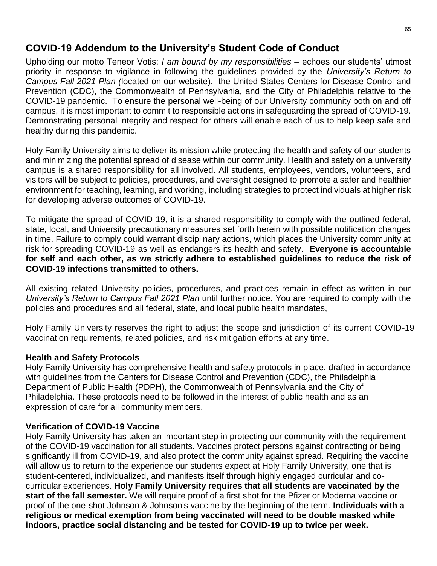# <span id="page-64-0"></span>**COVID-19 Addendum to the University's Student Code of Conduct**

Upholding our motto Teneor Votis: *I am bound by my responsibilities* – echoes our students' utmost priority in response to vigilance in following the guidelines provided by the *University's Return to Campus Fall 2021 Plan (*located on our website), the United States Centers for Disease Control and Prevention (CDC), the Commonwealth of Pennsylvania, and the City of Philadelphia relative to the COVID-19 pandemic. To ensure the personal well-being of our University community both on and off campus, it is most important to commit to responsible actions in safeguarding the spread of COVID-19. Demonstrating personal integrity and respect for others will enable each of us to help keep safe and healthy during this pandemic.

Holy Family University aims to deliver its mission while protecting the health and safety of our students and minimizing the potential spread of disease within our community. Health and safety on a university campus is a shared responsibility for all involved. All students, employees, vendors, volunteers, and visitors will be subject to policies, procedures, and oversight designed to promote a safer and healthier environment for teaching, learning, and working, including strategies to protect individuals at higher risk for developing adverse outcomes of COVID-19.

To mitigate the spread of COVID-19, it is a shared responsibility to comply with the outlined federal, state, local, and University precautionary measures set forth herein with possible notification changes in time. Failure to comply could warrant disciplinary actions, which places the University community at risk for spreading COVID-19 as well as endangers its health and safety. **Everyone is accountable for self and each other, as we strictly adhere to established guidelines to reduce the risk of COVID-19 infections transmitted to others.** 

All existing related University policies, procedures, and practices remain in effect as written in our *University's Return to Campus Fall 2021 Plan* until further notice. You are required to comply with the policies and procedures and all federal, state, and local public health mandates,

Holy Family University reserves the right to adjust the scope and jurisdiction of its current COVID-19 vaccination requirements, related policies, and risk mitigation efforts at any time.

#### **Health and Safety Protocols**

Holy Family University has comprehensive health and safety protocols in place, drafted in accordance with guidelines from the Centers for Disease Control and Prevention (CDC), the Philadelphia Department of Public Health (PDPH), the Commonwealth of Pennsylvania and the City of Philadelphia. These protocols need to be followed in the interest of public health and as an expression of care for all community members.

#### **Verification of COVID-19 Vaccine**

Holy Family University has taken an important step in protecting our community with the requirement of the COVID-19 vaccination for all students. Vaccines protect persons against contracting or being significantly ill from COVID-19, and also protect the community against spread. Requiring the vaccine will allow us to return to the experience our students expect at Holy Family University, one that is student-centered, individualized, and manifests itself through highly engaged curricular and cocurricular experiences. **Holy Family University requires that all students are vaccinated by the start of the fall semester.** We will require proof of a first shot for the Pfizer or Moderna vaccine or proof of the one-shot Johnson & Johnson's vaccine by the beginning of the term. **Individuals with a religious or medical exemption from being vaccinated will need to be double masked while indoors, practice social distancing and be tested for COVID-19 up to twice per week.**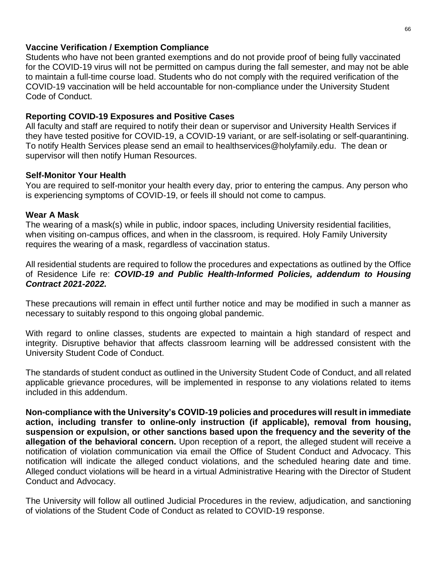#### **Vaccine Verification / Exemption Compliance**

Students who have not been granted exemptions and do not provide proof of being fully vaccinated for the COVID-19 virus will not be permitted on campus during the fall semester, and may not be able to maintain a full-time course load. Students who do not comply with the required verification of the COVID-19 vaccination will be held accountable for non-compliance under the University Student Code of Conduct.

#### **Reporting COVID-19 Exposures and Positive Cases**

All faculty and staff are required to notify their dean or supervisor and University Health Services if they have tested positive for COVID-19, a COVID-19 variant, or are self-isolating or self-quarantining. To notify Health Services please send an email to healthservices@holyfamily.edu. The dean or supervisor will then notify Human Resources.

#### **Self-Monitor Your Health**

You are required to self-monitor your health every day, prior to entering the campus. Any person who is experiencing symptoms of COVID-19, or feels ill should not come to campus.

#### **Wear A Mask**

The wearing of a mask(s) while in public, indoor spaces, including University residential facilities, when visiting on-campus offices, and when in the classroom, is required. Holy Family University requires the wearing of a mask, regardless of vaccination status.

All residential students are required to follow the procedures and expectations as outlined by the Office of Residence Life re: *COVID-19 and Public Health-Informed Policies, addendum to Housing Contract 2021-2022.* 

These precautions will remain in effect until further notice and may be modified in such a manner as necessary to suitably respond to this ongoing global pandemic.

With regard to online classes, students are expected to maintain a high standard of respect and integrity. Disruptive behavior that affects classroom learning will be addressed consistent with the University Student Code of Conduct.

The standards of student conduct as outlined in the University Student Code of Conduct, and all related applicable grievance procedures, will be implemented in response to any violations related to items included in this addendum.

**Non-compliance with the University's COVID-19 policies and procedures will result in immediate action, including transfer to online-only instruction (if applicable), removal from housing, suspension or expulsion, or other sanctions based upon the frequency and the severity of the allegation of the behavioral concern.** Upon reception of a report, the alleged student will receive a notification of violation communication via email the Office of Student Conduct and Advocacy. This notification will indicate the alleged conduct violations, and the scheduled hearing date and time. Alleged conduct violations will be heard in a virtual Administrative Hearing with the Director of Student Conduct and Advocacy.

The University will follow all outlined Judicial Procedures in the review, adjudication, and sanctioning of violations of the Student Code of Conduct as related to COVID-19 response.